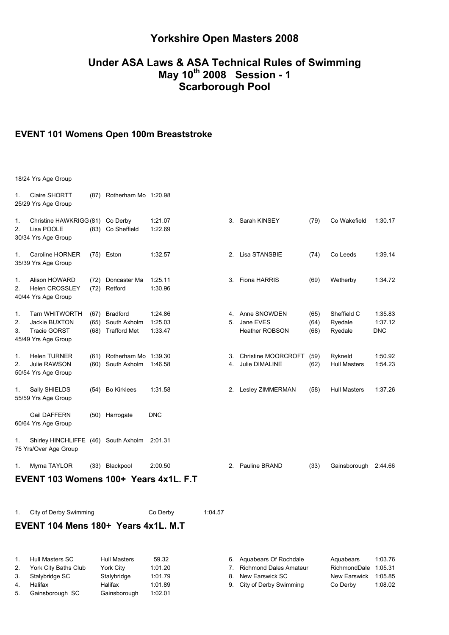# **Yorkshire Open Masters 2008**

## **Under ASA Laws & ASA Technical Rules of Swimming May 10th 2008 Session - 1 Scarborough Pool**

#### **EVENT 101 Womens Open 100m Breaststroke**

| 1.             | Claire SHORTT<br>25/29 Yrs Age Group                                                 |                      | (87) Rotherham Mo 1:20.98                              |                               |         |          |                                                          |                      |                                   |                                  |
|----------------|--------------------------------------------------------------------------------------|----------------------|--------------------------------------------------------|-------------------------------|---------|----------|----------------------------------------------------------|----------------------|-----------------------------------|----------------------------------|
| 1.<br>2.       | Christine HAWKRIGG (81) Co Derby<br>Lisa POOLE<br>30/34 Yrs Age Group                |                      | (83) Co Sheffield                                      | 1:21.07<br>1:22.69            |         | 3.       | Sarah KINSEY                                             | (79)                 | Co Wakefield                      | 1:30.17                          |
| 1.             | Caroline HORNER<br>35/39 Yrs Age Group                                               |                      | (75) Eston                                             | 1:32.57                       |         |          | 2. Lisa STANSBIE                                         | (74)                 | Co Leeds                          | 1:39.14                          |
| 1.<br>2.       | Alison HOWARD<br><b>Helen CROSSLEY</b><br>40/44 Yrs Age Group                        | (72)<br>(72)         | Doncaster Ma<br>Retford                                | 1:25.11<br>1:30.96            |         |          | 3. Fiona HARRIS                                          | (69)                 | Wetherby                          | 1:34.72                          |
| 1.<br>2.<br>3. | <b>Tarn WHITWORTH</b><br>Jackie BUXTON<br><b>Tracie GORST</b><br>45/49 Yrs Age Group | (67)<br>(65)<br>(68) | <b>Bradford</b><br>South Axholm<br><b>Trafford Met</b> | 1:24.86<br>1:25.03<br>1:33.47 |         |          | 4. Anne SNOWDEN<br>5. Jane EVES<br><b>Heather ROBSON</b> | (65)<br>(64)<br>(68) | Sheffield C<br>Ryedale<br>Ryedale | 1:35.83<br>1:37.12<br><b>DNC</b> |
| 1.<br>2.       | <b>Helen TURNER</b><br>Julie RAWSON<br>50/54 Yrs Age Group                           |                      | (61) Rotherham Mo 1:39.30<br>(60) South Axholm         | 1:46.58                       |         | 3.<br>4. | Christine MOORCROFT<br>Julie DIMALINE                    | (59)<br>(62)         | Rykneld<br><b>Hull Masters</b>    | 1:50.92<br>1:54.23               |
| 1.             | Sally SHIELDS<br>55/59 Yrs Age Group                                                 |                      | (54) Bo Kirklees                                       | 1:31.58                       |         |          | 2. Lesley ZIMMERMAN                                      | (58)                 | <b>Hull Masters</b>               | 1:37.26                          |
|                | <b>Gail DAFFERN</b><br>60/64 Yrs Age Group                                           |                      | (50) Harrogate                                         | <b>DNC</b>                    |         |          |                                                          |                      |                                   |                                  |
| 1.             | Shirley HINCHLIFFE (46) South Axholm<br>75 Yrs/Over Age Group                        |                      |                                                        | 2:01.31                       |         |          |                                                          |                      |                                   |                                  |
| 1.             | Myrna TAYLOR                                                                         |                      | (33) Blackpool                                         | 2:00.50                       |         |          | 2. Pauline BRAND                                         | (33)                 | Gainsborough                      | 2:44.66                          |
|                | EVENT 103 Womens 100+ Years 4x1L, F.T                                                |                      |                                                        |                               |         |          |                                                          |                      |                                   |                                  |
| 1.             | City of Derby Swimming                                                               |                      |                                                        | Co Derby                      | 1:04.57 |          |                                                          |                      |                                   |                                  |
|                | EVENT 104 Mens 180+ Years 4x1L, M.T                                                  |                      |                                                        |                               |         |          |                                                          |                      |                                   |                                  |

| $1_{-}$<br>Hull Masters SC<br><b>Hull Masters</b><br>59.32 | 6 |
|------------------------------------------------------------|---|
|                                                            |   |
| York City Baths Club<br>1:01.20<br><b>York City</b><br>2.  | 7 |
| 1:01.79<br>Stalybridge<br>3. Stalybridge SC                | 8 |
| 1:01.89<br>4.<br>Halifax<br>Halifax                        | 9 |
| 1:02.01<br>Gainsborough SC<br>5.<br>Gainsborough           |   |

|    | Hull Masters SC      | Hull Masters | 59.32   | 6. Aguabears Of Rochdale  | Aquabears            | 1:03.76 |
|----|----------------------|--------------|---------|---------------------------|----------------------|---------|
|    | York City Baths Club | York City    | 1:01.20 | Richmond Dales Amateur    | RichmondDale 1:05.31 |         |
| 3. | Stalybridge SC       | Stalybridge  | 1:01.79 | 8. New Earswick SC        | New Earswick 1:05.85 |         |
|    | Halifax              | Halifax      | 1:01.89 | 9. City of Derby Swimming | Co Derby             | 1:08.02 |
|    |                      |              |         |                           |                      |         |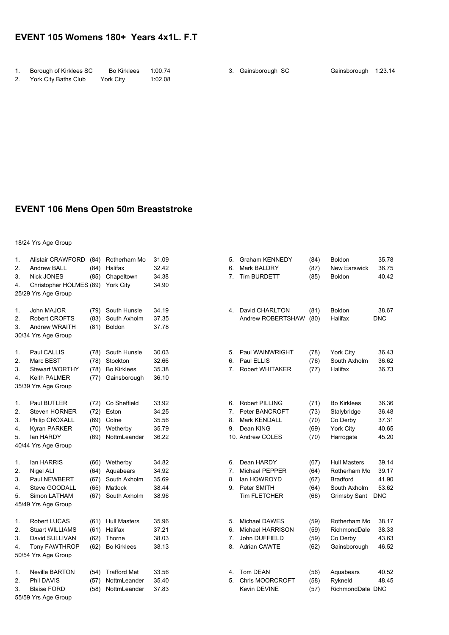### **EVENT 105 Womens 180+ Years 4x1L. F.T**

| Borough of Kirklees SC  | Bo Kirklees 1:00.74 |         | 3. Gainsborough SC | Gainsborough 1:23.14 |  |
|-------------------------|---------------------|---------|--------------------|----------------------|--|
| 2. York City Baths Club | York City           | 1:02.08 |                    |                      |  |

## **EVENT 106 Mens Open 50m Breaststroke**

| 1.<br>2.<br>3.<br>4.       | <b>Alistair CRAWFORD</b><br>Andrew BALL<br><b>Nick JONES</b><br>Christopher HOLMES (89)<br>25/29 Yrs Age Group | (84)<br>(84)<br>(85)                 | Rotherham Mo<br>Halifax<br>Chapeltown<br>York City               | 31.09<br>32.42<br>34.38<br>34.90          | 5.<br>6.<br>7.       | <b>Graham KENNEDY</b><br>Mark BALDRY<br>Tim BURDETT                               | (84)<br>(87)<br>(85)                 | <b>Boldon</b><br><b>New Earswick</b><br>Boldon                                         | 35.78<br>36.75<br>40.42                        |
|----------------------------|----------------------------------------------------------------------------------------------------------------|--------------------------------------|------------------------------------------------------------------|-------------------------------------------|----------------------|-----------------------------------------------------------------------------------|--------------------------------------|----------------------------------------------------------------------------------------|------------------------------------------------|
| 1.<br>2.<br>3.             | John MAJOR<br>Robert CROFTS<br><b>Andrew WRAITH</b><br>30/34 Yrs Age Group                                     | (79)<br>(83)<br>(81)                 | South Hunsle<br>South Axholm<br><b>Boldon</b>                    | 34.19<br>37.35<br>37.78                   |                      | 4. David CHARLTON<br>Andrew ROBERTSHAW                                            | (81)<br>(80)                         | Boldon<br>Halifax                                                                      | 38.67<br><b>DNC</b>                            |
| 1.<br>2.<br>3.<br>4.       | Paul CALLIS<br>Marc BEST<br><b>Stewart WORTHY</b><br><b>Keith PALMER</b><br>35/39 Yrs Age Group                | (78)<br>(78)<br>(78)<br>(77)         | South Hunsle<br>Stockton<br><b>Bo Kirklees</b><br>Gainsborough   | 30.03<br>32.66<br>35.38<br>36.10          | 5.<br>6.<br>7.       | Paul WAINWRIGHT<br>Paul ELLIS<br><b>Robert WHITAKER</b>                           | (78)<br>(76)<br>(77)                 | York City<br>South Axholm<br>Halifax                                                   | 36.43<br>36.62<br>36.73                        |
| 1.<br>2.<br>3.<br>4.<br>5. | Paul BUTLER<br><b>Steven HORNER</b><br>Philip CROXALL<br>Kyran PARKER<br>lan HARDY<br>40/44 Yrs Age Group      | (72)<br>(72)<br>(69)<br>(70)<br>(69) | Co Sheffield<br>Eston<br>Colne<br>Wetherby<br>NottmLeander       | 33.92<br>34.25<br>35.56<br>35.79<br>36.22 | 6.<br>7.<br>8.<br>9. | Robert PILLING<br>Peter BANCROFT<br>Mark KENDALL<br>Dean KING<br>10. Andrew COLES | (71)<br>(73)<br>(70)<br>(69)<br>(70) | <b>Bo Kirklees</b><br>Stalybridge<br>Co Derby<br>York City<br>Harrogate                | 36.36<br>36.48<br>37.31<br>40.65<br>45.20      |
| 1.<br>2.<br>3.<br>4.<br>5. | lan HARRIS<br>Nigel ALI<br>Paul NEWBERT<br>Steve GOODALL<br>Simon LATHAM<br>45/49 Yrs Age Group                | (66)<br>(64)<br>(67)<br>(65)<br>(67) | Wetherby<br>Aquabears<br>South Axholm<br>Matlock<br>South Axholm | 34.82<br>34.92<br>35.69<br>38.44<br>38.96 | 6.<br>7.<br>8.<br>9. | Dean HARDY<br>Michael PEPPER<br>lan HOWROYD<br>Peter SMITH<br>Tim FLETCHER        | (67)<br>(64)<br>(67)<br>(64)<br>(66) | <b>Hull Masters</b><br>Rotherham Mo<br><b>Bradford</b><br>South Axholm<br>Grimsby Sant | 39.14<br>39.17<br>41.90<br>53.62<br><b>DNC</b> |
| 1.<br>2.<br>3.<br>4.       | Robert LUCAS<br><b>Stuart WILLIAMS</b><br>David SULLIVAN<br><b>Tony FAWTHROP</b><br>50/54 Yrs Age Group        | (61)<br>(61)<br>(62)<br>(62)         | <b>Hull Masters</b><br>Halifax<br>Thorne<br><b>Bo Kirklees</b>   | 35.96<br>37.21<br>38.03<br>38.13          | 5.<br>6.<br>7.<br>8. | Michael DAWES<br>Michael HARRISON<br>John DUFFIELD<br><b>Adrian CAWTE</b>         | (59)<br>(59)<br>(59)<br>(62)         | Rotherham Mo<br>RichmondDale<br>Co Derby<br>Gainsborough                               | 38.17<br>38.33<br>43.63<br>46.52               |
| 1.<br>2.<br>3.             | <b>Neville BARTON</b><br>Phil DAVIS<br><b>Blaise FORD</b><br>55/59 Yrs Age Group                               | (54)<br>(57)<br>(58)                 | <b>Trafford Met</b><br>NottmLeander<br>NottmLeander              | 33.56<br>35.40<br>37.83                   | 4.<br>5.             | Tom DEAN<br>Chris MOORCROFT<br>Kevin DEVINE                                       | (56)<br>(58)<br>(57)                 | Aquabears<br>Rykneld<br>RichmondDale DNC                                               | 40.52<br>48.45                                 |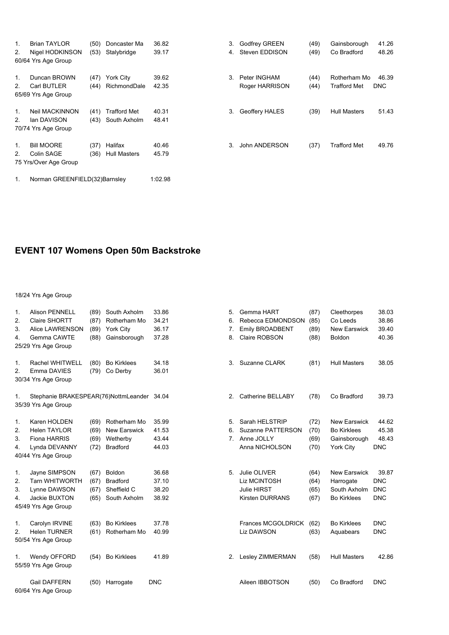| 1.<br>2.                         | <b>Brian TAYLOR</b><br>Nigel HODKINSON<br>60/64 Yrs Age Group | (50)<br>(53) | Doncaster Ma<br>Stalybridge         | 36.82<br>39.17 | 3.<br>4. | <b>Godfrey GREEN</b><br>Steven EDDISON | (49)<br>(49) | Gainsborough<br>Co Bradford         | 41.26<br>48.26      |
|----------------------------------|---------------------------------------------------------------|--------------|-------------------------------------|----------------|----------|----------------------------------------|--------------|-------------------------------------|---------------------|
| 1 <sub>1</sub><br>2 <sub>1</sub> | Duncan BROWN<br><b>Carl BUTLER</b><br>65/69 Yrs Age Group     | (47)<br>(44) | York City<br>RichmondDale           | 39.62<br>42.35 | 3.       | Peter INGHAM<br>Roger HARRISON         | (44)<br>(44) | Rotherham Mo<br><b>Trafford Met</b> | 46.39<br><b>DNC</b> |
| 1 <sub>1</sub><br>2.             | Neil MACKINNON<br>lan DAVISON<br>70/74 Yrs Age Group          | (41)<br>(43) | <b>Trafford Met</b><br>South Axholm | 40.31<br>48.41 | 3.       | Geoffery HALES                         | (39)         | <b>Hull Masters</b>                 | 51.43               |
| 1.<br>2.                         | <b>Bill MOORE</b><br>Colin SAGE<br>75 Yrs/Over Age Group      | (37)<br>(36) | Halifax<br><b>Hull Masters</b>      | 40.46<br>45.79 | 3.       | John ANDERSON                          | (37)         | Trafford Met                        | 49.76               |
| 1.                               | Norman GREENFIELD(32)Barnsley                                 |              |                                     | 1:02.98        |          |                                        |              |                                     |                     |

# **EVENT 107 Womens Open 50m Backstroke**

| $\mathbf{1}$ .<br>2.<br>3.<br>4. | <b>Alison PENNELL</b><br>Claire SHORTT<br><b>Alice LAWRENSON</b><br>Gemma CAWTE<br>25/29 Yrs Age Group | (89)<br>(87)<br>(89)<br>(88) | South Axholm<br>Rotherham Mo<br>York City<br>Gainsborough          | 33.86<br>34.21<br>36.17<br>37.28 | 5.<br>6.<br>7.<br>8. | Gemma HART<br>Rebecca EDMONDSON<br>Emily BROADBENT<br><b>Claire ROBSON</b>          | (87)<br>(85)<br>(89)<br>(88) | Cleethorpes<br>Co Leeds<br><b>New Earswick</b><br><b>Boldon</b>        | 38.03<br>38.86<br>39.40<br>40.36                |
|----------------------------------|--------------------------------------------------------------------------------------------------------|------------------------------|--------------------------------------------------------------------|----------------------------------|----------------------|-------------------------------------------------------------------------------------|------------------------------|------------------------------------------------------------------------|-------------------------------------------------|
| 1.<br>2.                         | Rachel WHITWELL<br>Emma DAVIES<br>30/34 Yrs Age Group                                                  | (80)<br>(79)                 | <b>Bo Kirklees</b><br>Co Derby                                     | 34.18<br>36.01                   | 3.                   | Suzanne CLARK                                                                       | (81)                         | <b>Hull Masters</b>                                                    | 38.05                                           |
| 1.                               | Stephanie BRAKESPEAR(76)NottmLeander 34.04<br>35/39 Yrs Age Group                                      |                              |                                                                    |                                  | 2.                   | Catherine BELLABY                                                                   | (78)                         | Co Bradford                                                            | 39.73                                           |
| $\mathbf{1}$ .<br>2.<br>3.<br>4. | Karen HOLDEN<br><b>Helen TAYLOR</b><br><b>Fiona HARRIS</b><br>Lynda DEVANNY<br>40/44 Yrs Age Group     | (69)<br>(69)<br>(69)<br>(72) | Rotherham Mo<br><b>New Earswick</b><br>Wetherby<br><b>Bradford</b> | 35.99<br>41.53<br>43.44<br>44.03 | 5.<br>6.             | Sarah HELSTRIP<br>Suzanne PATTERSON<br>7. Anne JOLLY<br>Anna NICHOLSON              | (72)<br>(70)<br>(69)<br>(70) | <b>New Earswick</b><br><b>Bo Kirklees</b><br>Gainsborough<br>York City | 44.62<br>45.38<br>48.43<br><b>DNC</b>           |
| 1.<br>2.<br>3.<br>4.             | Jayne SIMPSON<br><b>Tarn WHITWORTH</b><br>Lynne DAWSON<br>Jackie BUXTON<br>45/49 Yrs Age Group         | (67)<br>(67)<br>(67)<br>(65) | Boldon<br><b>Bradford</b><br>Sheffield C<br>South Axholm           | 36.68<br>37.10<br>38.20<br>38.92 | 5.                   | Julie OLIVER<br><b>Liz MCINTOSH</b><br><b>Julie HIRST</b><br><b>Kirsten DURRANS</b> | (64)<br>(64)<br>(65)<br>(67) | <b>New Earswick</b><br>Harrogate<br>South Axholm<br><b>Bo Kirklees</b> | 39.87<br><b>DNC</b><br><b>DNC</b><br><b>DNC</b> |
| 1.<br>2.                         | Carolyn IRVINE<br><b>Helen TURNER</b><br>50/54 Yrs Age Group                                           | (63)<br>(61)                 | <b>Bo Kirklees</b><br>Rotherham Mo                                 | 37.78<br>40.99                   |                      | <b>Frances MCGOLDRICK</b><br><b>Liz DAWSON</b>                                      | (62)<br>(63)                 | <b>Bo Kirklees</b><br>Aquabears                                        | <b>DNC</b><br><b>DNC</b>                        |
| 1.                               | Wendy OFFORD<br>55/59 Yrs Age Group                                                                    | (54)                         | <b>Bo Kirklees</b>                                                 | 41.89                            | 2.                   | <b>Lesley ZIMMERMAN</b>                                                             | (58)                         | <b>Hull Masters</b>                                                    | 42.86                                           |
|                                  | <b>Gail DAFFERN</b><br>60/64 Yrs Age Group                                                             | (50)                         | Harrogate                                                          | <b>DNC</b>                       |                      | Aileen IBBOTSON                                                                     | (50)                         | Co Bradford                                                            | <b>DNC</b>                                      |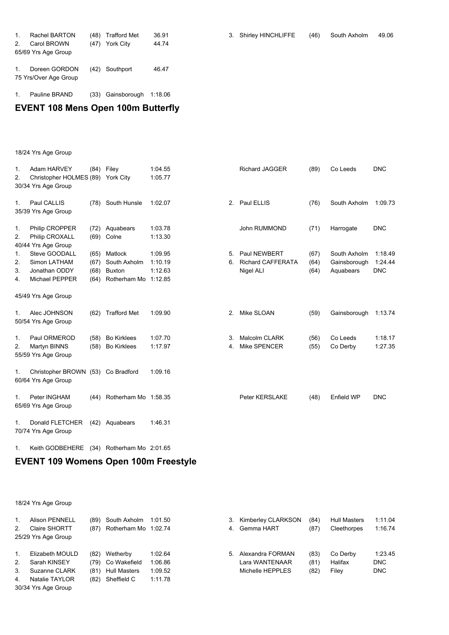| 1.<br>2 <sub>1</sub> | Rachel BARTON<br>Carol BROWN<br>65/69 Yrs Age Group | (48)<br>(47) | Trafford Met<br>York City | 36.91<br>44.74 | 3. Shirley HINCHLIFFE | (46) | South Axholm | 49.06 |
|----------------------|-----------------------------------------------------|--------------|---------------------------|----------------|-----------------------|------|--------------|-------|
|                      | Doreen GORDON<br>75 Yrs/Over Age Group              |              | (42) Southport            | 46.47          |                       |      |              |       |

### 1. Pauline BRAND (33) Gainsborough 1:18.06

# **EVENT 108 Mens Open 100m Butterfly**

18/24 Yrs Age Group

| $\mathbf{1}$ .<br>2. | Adam HARVEY<br>Christopher HOLMES (89) York City<br>30/34 Yrs Age Group | (84)                         | Filey                                                    | 1:04.55<br>1:05.77                       |          | <b>Richard JAGGER</b>                                 | (89)                 | Co Leeds                                  | <b>DNC</b>                       |
|----------------------|-------------------------------------------------------------------------|------------------------------|----------------------------------------------------------|------------------------------------------|----------|-------------------------------------------------------|----------------------|-------------------------------------------|----------------------------------|
| 1.                   | Paul CALLIS<br>35/39 Yrs Age Group                                      |                              | (78) South Hunsle                                        | 1:02.07                                  |          | 2. Paul ELLIS                                         | (76)                 | South Axholm                              | 1:09.73                          |
| 1.<br>2.             | Philip CROPPER<br>Philip CROXALL<br>40/44 Yrs Age Group                 | (72)                         | Aquabears<br>(69) Colne                                  | 1:03.78<br>1:13.30                       |          | <b>John RUMMOND</b>                                   | (71)                 | Harrogate                                 | <b>DNC</b>                       |
| 1.<br>2.<br>3.<br>4. | Steve GOODALL<br>Simon LATHAM<br>Jonathan ODDY<br>Michael PEPPER        | (65)<br>(67)<br>(68)<br>(64) | Matlock<br>South Axholm<br><b>Buxton</b><br>Rotherham Mo | 1:09.95<br>1:10.19<br>1:12.63<br>1:12.85 | 5.<br>6. | Paul NEWBERT<br><b>Richard CAFFERATA</b><br>Nigel ALI | (67)<br>(64)<br>(64) | South Axholm<br>Gainsborough<br>Aquabears | 1:18.49<br>1:24.44<br><b>DNC</b> |
|                      | 45/49 Yrs Age Group                                                     |                              |                                                          |                                          |          |                                                       |                      |                                           |                                  |
| 1.                   | Alec JOHNSON<br>50/54 Yrs Age Group                                     | (62)                         | <b>Trafford Met</b>                                      | 1:09.90                                  | 2.       | Mike SLOAN                                            | (59)                 | Gainsborough                              | 1:13.74                          |
| $\mathbf{1}$ .<br>2. | Paul ORMEROD<br>Martyn BINNS<br>55/59 Yrs Age Group                     | (58)<br>(58)                 | <b>Bo Kirklees</b><br><b>Bo Kirklees</b>                 | 1:07.70<br>1:17.97                       | 3.<br>4. | Malcolm CLARK<br>Mike SPENCER                         | (56)<br>(55)         | Co Leeds<br>Co Derby                      | 1:18.17<br>1:27.35               |
| 1.                   | Christopher BROWN (53)<br>60/64 Yrs Age Group                           |                              | Co Bradford                                              | 1:09.16                                  |          |                                                       |                      |                                           |                                  |
| 1.                   | Peter INGHAM<br>65/69 Yrs Age Group                                     | (44)                         | Rotherham Mo 1:58.35                                     |                                          |          | Peter KERSLAKE                                        | (48)                 | Enfield WP                                | <b>DNC</b>                       |
| 1.                   | Donald FLETCHER<br>70/74 Yrs Age Group                                  | (42)                         | Aquabears                                                | 1:46.31                                  |          |                                                       |                      |                                           |                                  |

1. Keith GODBEHERE (34) Rotherham Mo 2:01.65

## **EVENT 109 Womens Open 100m Freestyle**

| 1.             | <b>Alison PENNELL</b> | (89) | South Axholm         | 1:01.50 |    | 3. Kimberley CLARKSON | (84) | <b>Hull Masters</b> | 1:11.04    |  |
|----------------|-----------------------|------|----------------------|---------|----|-----------------------|------|---------------------|------------|--|
| 2.             | Claire SHORTT         | (87) | Rotherham Mo 1:02.74 |         | 4. | Gemma HART            | (87) | Cleethorpes         | 1:16.74    |  |
|                | 25/29 Yrs Age Group   |      |                      |         |    |                       |      |                     |            |  |
|                |                       |      |                      |         |    |                       |      |                     |            |  |
| $\mathbf{1}$ . | Elizabeth MOULD       | (82) | Wetherby             | 1:02.64 | 5. | Alexandra FORMAN      | (83) | Co Derby            | 1:23.45    |  |
| 2.             | Sarah KINSEY          |      | (79) Co Wakefield    | 1:06.86 |    | Lara WANTENAAR        | (81) | Halifax             | DNC.       |  |
| $3_{-}$        | Suzanne CLARK         | (81) | <b>Hull Masters</b>  | 1:09.52 |    | Michelle HEPPLES      | (82) | Filey               | <b>DNC</b> |  |
| 4.             | Natalie TAYLOR        | (82) | Sheffield C          | 1:11.78 |    |                       |      |                     |            |  |
|                | 30/34 Yrs Age Group   |      |                      |         |    |                       |      |                     |            |  |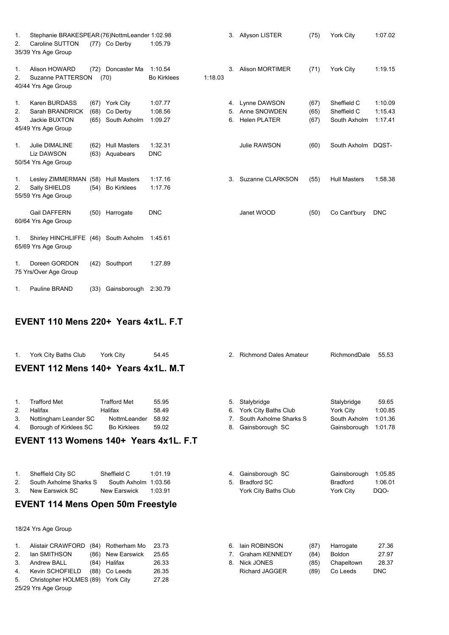| 1. | Stephanie BRAKESPEAR (76)NottmLeander 1:02.98 |      |                     |                    |         |    | 3. Allyson LISTER      | (75) | <b>York City</b>    | 1:07.02    |
|----|-----------------------------------------------|------|---------------------|--------------------|---------|----|------------------------|------|---------------------|------------|
| 2. | Caroline SUTTON                               |      | (77) Co Derby       | 1:05.79            |         |    |                        |      |                     |            |
|    | 35/39 Yrs Age Group                           |      |                     |                    |         |    |                        |      |                     |            |
|    |                                               |      |                     |                    |         |    |                        |      |                     |            |
| 1. | <b>Alison HOWARD</b>                          | (72) | Doncaster Ma        | 1:10.54            |         | 3. | <b>Alison MORTIMER</b> | (71) | York City           | 1:19.15    |
| 2. | Suzanne PATTERSON                             |      | (70)                | <b>Bo Kirklees</b> | 1:18.03 |    |                        |      |                     |            |
|    | 40/44 Yrs Age Group                           |      |                     |                    |         |    |                        |      |                     |            |
|    |                                               |      |                     |                    |         |    |                        |      |                     |            |
| 1. | Karen BURDASS                                 | (67) | York City           | 1:07.77            |         | 4. | Lynne DAWSON           | (67) | Sheffield C         | 1:10.09    |
| 2. | Sarah BRANDRICK                               | (68) | Co Derby            | 1:08.56            |         | 5. | Anne SNOWDEN           | (65) | Sheffield C         | 1:15.43    |
| 3. | Jackie BUXTON                                 | (65) | South Axholm        | 1:09.27            |         | 6. | <b>Helen PLATER</b>    | (67) | South Axholm        | 1:17.41    |
|    | 45/49 Yrs Age Group                           |      |                     |                    |         |    |                        |      |                     |            |
|    |                                               |      |                     |                    |         |    |                        |      |                     |            |
| 1. | Julie DIMALINE                                | (62) | <b>Hull Masters</b> | 1:32.31            |         |    | Julie RAWSON           | (60) | South Axholm DQST-  |            |
|    | <b>Liz DAWSON</b>                             | (63) | Aquabears           | <b>DNC</b>         |         |    |                        |      |                     |            |
|    | 50/54 Yrs Age Group                           |      |                     |                    |         |    |                        |      |                     |            |
|    |                                               |      |                     |                    |         |    |                        |      |                     |            |
| 1. | Lesley ZIMMERMAN                              | (58) | <b>Hull Masters</b> | 1:17.16            |         | 3. | Suzanne CLARKSON       | (55) | <b>Hull Masters</b> | 1:58.38    |
| 2. | Sally SHIELDS                                 | (54) | <b>Bo Kirklees</b>  | 1:17.76            |         |    |                        |      |                     |            |
|    | 55/59 Yrs Age Group                           |      |                     |                    |         |    |                        |      |                     |            |
|    | <b>Gail DAFFERN</b>                           | (50) | Harrogate           | <b>DNC</b>         |         |    | Janet WOOD             | (50) | Co Cant'bury        | <b>DNC</b> |
|    | 60/64 Yrs Age Group                           |      |                     |                    |         |    |                        |      |                     |            |
|    |                                               |      |                     |                    |         |    |                        |      |                     |            |
| 1. | Shirley HINCHLIFFE (46) South Axholm          |      |                     | 1:45.61            |         |    |                        |      |                     |            |
|    | 65/69 Yrs Age Group                           |      |                     |                    |         |    |                        |      |                     |            |
|    |                                               |      |                     |                    |         |    |                        |      |                     |            |
| 1. | Doreen GORDON                                 | (42) | Southport           | 1:27.89            |         |    |                        |      |                     |            |
|    | 75 Yrs/Over Age Group                         |      |                     |                    |         |    |                        |      |                     |            |
|    |                                               |      |                     |                    |         |    |                        |      |                     |            |
| 1. | <b>Pauline BRAND</b>                          | (33) | Gainsborough        | 2:30.79            |         |    |                        |      |                     |            |

# **EVENT 110 Mens 220+ Years 4x1L. F.T**

| 1.             | York City Baths Club                     | <b>York City</b>    | 54.45   | 2 <sup>1</sup> | <b>Richmond Dales Amateur</b> |      | RichmondDale    | 55.53      |  |  |
|----------------|------------------------------------------|---------------------|---------|----------------|-------------------------------|------|-----------------|------------|--|--|
|                | EVENT 112 Mens 140+ Years 4x1L, M.T      |                     |         |                |                               |      |                 |            |  |  |
|                |                                          |                     |         |                |                               |      |                 |            |  |  |
|                |                                          |                     |         |                |                               |      |                 |            |  |  |
| $\mathbf{1}$ . | <b>Trafford Met</b>                      | <b>Trafford Met</b> | 55.95   | 5.             | Stalybridge                   |      | Stalybridge     | 59.65      |  |  |
| 2.             | Halifax                                  | Halifax             | 58.49   | 6.             | York City Baths Club          |      | York City       | 1:00.85    |  |  |
| 3.             | Nottingham Leander SC                    | NottmLeander        | 58.92   | 7.             | South Axholme Sharks S        |      | South Axholm    | 1:01.36    |  |  |
| 4.             | Borough of Kirklees SC                   | <b>Bo Kirklees</b>  | 59.02   | 8.             | Gainsborough SC               |      | Gainsborough    | 1:01.78    |  |  |
|                | EVENT 113 Womens 140+ Years 4x1L, F.T    |                     |         |                |                               |      |                 |            |  |  |
|                |                                          |                     |         |                |                               |      |                 |            |  |  |
|                |                                          |                     |         |                |                               |      |                 |            |  |  |
|                |                                          |                     |         |                |                               |      |                 |            |  |  |
| 1.             | Sheffield City SC                        | Sheffield C         | 1:01.19 | 4.             | Gainsborough SC               |      | Gainsborough    | 1:05.85    |  |  |
| 2.             | South Axholme Sharks S                   | South Axholm        | 1:03.56 | 5.             | <b>Bradford SC</b>            |      | <b>Bradford</b> | 1:06.01    |  |  |
| 3.             | New Earswick SC                          | <b>New Earswick</b> | 1:03.91 |                | York City Baths Club          |      | York City       | DQO-       |  |  |
|                | <b>EVENT 114 Mens Open 50m Freestyle</b> |                     |         |                |                               |      |                 |            |  |  |
|                |                                          |                     |         |                |                               |      |                 |            |  |  |
|                |                                          |                     |         |                |                               |      |                 |            |  |  |
|                | 18/24 Yrs Age Group                      |                     |         |                |                               |      |                 |            |  |  |
| 1.             | <b>Alistair CRAWFORD</b><br>(84)         | Rotherham Mo        | 23.73   | 6.             | lain ROBINSON                 | (87) | Harrogate       | 27.36      |  |  |
| 2.             | lan SMITHSON<br>(86)                     | New Earswick        | 25.65   | 7.             | <b>Graham KENNEDY</b>         | (84) | <b>Boldon</b>   | 27.97      |  |  |
| 3.             | <b>Andrew BALL</b><br>(84)               | Halifax             | 26.33   | 8.             | <b>Nick JONES</b>             | (85) | Chapeltown      | 28.37      |  |  |
| 4.             | Kevin SCHOFIELD<br>(88)                  | Co Leeds            | 26.35   |                | <b>Richard JAGGER</b>         | (89) | Co Leeds        | <b>DNC</b> |  |  |
| 5.             | Christopher HOLMES (89)                  | <b>York City</b>    | 27.28   |                |                               |      |                 |            |  |  |
|                | 25/29 Yrs Age Group                      |                     |         |                |                               |      |                 |            |  |  |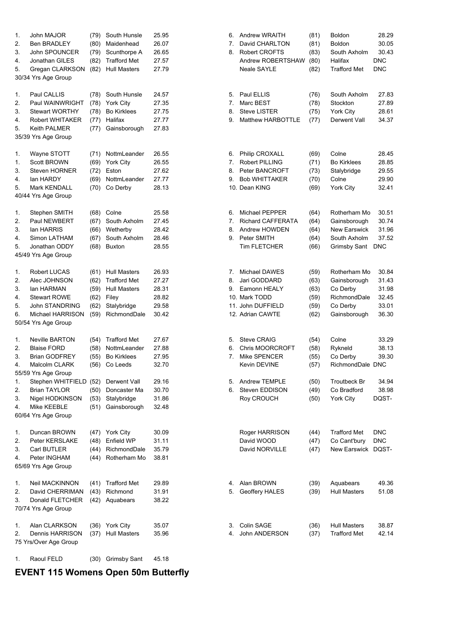| 1. | John MAJOR                          | (79) | South Hunsle        | 25.95 | 6. | Andrew WRAITH            | (81) | Boldon              | 28.29      |
|----|-------------------------------------|------|---------------------|-------|----|--------------------------|------|---------------------|------------|
| 2. | <b>Ben BRADLEY</b>                  | (80) | Maidenhead          | 26.07 | 7. | David CHARLTON           | (81) | Boldon              | 30.05      |
| 3. | John SPOUNCER                       | (79) | Scunthorpe A        | 26.65 | 8. | <b>Robert CROFTS</b>     | (83) | South Axholm        | 30.43      |
| 4. | Jonathan GILES                      | (82) | <b>Trafford Met</b> | 27.57 |    | Andrew ROBERTSHAW        | (80) | Halifax             | <b>DNC</b> |
| 5. | Gregan CLARKSON                     | (82) | <b>Hull Masters</b> | 27.79 |    | <b>Neale SAYLE</b>       | (82) | <b>Trafford Met</b> | <b>DNC</b> |
|    | 30/34 Yrs Age Group                 |      |                     |       |    |                          |      |                     |            |
| 1. | Paul CALLIS                         | (78) | South Hunsle        | 24.57 | 5. | Paul ELLIS               | (76) | South Axholm        | 27.83      |
| 2. | Paul WAINWRIGHT                     | (78) | <b>York City</b>    | 27.35 | 7. | Marc BEST                | (78) | Stockton            | 27.89      |
| 3. | <b>Stewart WORTHY</b>               | (78) | <b>Bo Kirklees</b>  | 27.75 | 8. | <b>Steve LISTER</b>      | (75) | York City           | 28.61      |
| 4. | <b>Robert WHITAKER</b>              | (77) | Halifax             | 27.77 | 9. | Matthew HARBOTTLE        | (77) | Derwent Vall        | 34.37      |
| 5. | <b>Keith PALMER</b>                 | (77) | Gainsborough        | 27.83 |    |                          |      |                     |            |
|    | 35/39 Yrs Age Group                 |      |                     |       |    |                          |      |                     |            |
| 1. | Wayne STOTT                         | (71) | NottmLeander        | 26.55 | 6. | Philip CROXALL           | (69) | Colne               | 28.45      |
| 1. | Scott BROWN                         | (69) | <b>York City</b>    | 26.55 | 7. | Robert PILLING           | (71) | <b>Bo Kirklees</b>  | 28.85      |
| 3. | <b>Steven HORNER</b>                | (72) | Eston               | 27.62 | 8. | Peter BANCROFT           | (73) | Stalybridge         | 29.55      |
| 4. | lan HARDY                           | (69) | NottmLeander        | 27.77 | 9. | <b>Bob WHITTAKER</b>     | (70) | Colne               | 29.90      |
| 5. | Mark KENDALL<br>40/44 Yrs Age Group | (70) | Co Derby            | 28.13 |    | 10. Dean KING            | (69) | York City           | 32.41      |
|    |                                     |      |                     |       |    |                          |      |                     |            |
| 1. | Stephen SMITH                       | (68) | Colne               | 25.58 | 6. | Michael PEPPER           | (64) | Rotherham Mo        | 30.51      |
| 2. | Paul NEWBERT                        | (67) | South Axholm        | 27.45 | 7. | <b>Richard CAFFERATA</b> | (64) | Gainsborough        | 30.74      |
| 3. | lan HARRIS                          | (66) | Wetherby            | 28.42 | 8. | Andrew HOWDEN            | (64) | <b>New Earswick</b> | 31.96      |
| 4. | Simon LATHAM                        | (67) | South Axholm        | 28.46 | 9. | Peter SMITH              | (64) | South Axholm        | 37.52      |
| 5. | Jonathan ODDY                       | (68) | Buxton              | 28.55 |    | Tim FLETCHER             | (66) | Grimsby Sant        | <b>DNC</b> |
|    | 45/49 Yrs Age Group                 |      |                     |       |    |                          |      |                     |            |
| 1. | Robert LUCAS                        | (61) | <b>Hull Masters</b> | 26.93 | 7. | Michael DAWES            | (59) | Rotherham Mo        | 30.84      |
| 2. | Alec JOHNSON                        | (62) | <b>Trafford Met</b> | 27.27 | 8. | Jari GODDARD             | (63) | Gainsborough        | 31.43      |
| 3. | lan HARMAN                          | (59) | <b>Hull Masters</b> | 28.31 | 9. | Eamonn HEALY             | (63) | Co Derby            | 31.98      |
| 4. | <b>Stewart ROWE</b>                 | (62) | Filey               | 28.82 |    | 10. Mark TODD            | (59) | RichmondDale        | 32.45      |
| 5. | John STANDRING                      | (62) | Stalybridge         | 29.58 |    | 11. John DUFFIELD        | (59) | Co Derby            | 33.01      |
| 6. | Michael HARRISON                    | (59) | RichmondDale        | 30.42 |    | 12. Adrian CAWTE         | (62) | Gainsborough        | 36.30      |
|    | 50/54 Yrs Age Group                 |      |                     |       |    |                          |      |                     |            |
| 1. | <b>Neville BARTON</b>               | (54) | <b>Trafford Met</b> | 27.67 | 5. | Steve CRAIG              | (54) | Colne               | 33.29      |
| 2. | <b>Blaise FORD</b>                  | (58) | NottmLeander        | 27.88 | 6. | <b>Chris MOORCROFT</b>   | (58) | Rykneld             | 38.13      |
| 3. | <b>Brian GODFREY</b>                | (55) | <b>Bo Kirklees</b>  | 27.95 | 7. | Mike SPENCER             | (55) | Co Derby            | 39.30      |
| 4. | Malcolm CLARK                       | (56) | Co Leeds            | 32.70 |    | Kevin DEVINE             | (57) | RichmondDale DNC    |            |
|    | 55/59 Yrs Age Group                 |      |                     |       |    |                          |      |                     |            |
| 1. | Stephen WHITFIELD                   | (52) | Derwent Vall        | 29.16 | 5. | Andrew TEMPLE            | (50) | Troutbeck Br        | 34.94      |
| 2. | <b>Brian TAYLOR</b>                 | (50) | Doncaster Ma        | 30.70 | 6. | Steven EDDISON           | (49) | Co Bradford         | 38.98      |
| 3. | Nigel HODKINSON                     | (53) | Stalybridge         | 31.86 |    | Roy CROUCH               | (50) | York City           | DQST-      |
| 4. | Mike KEEBLE                         | (51) | Gainsborough        | 32.48 |    |                          |      |                     |            |
|    | 60/64 Yrs Age Group                 |      |                     |       |    |                          |      |                     |            |
| 1. | Duncan BROWN                        | (47) | York City           | 30.09 |    | Roger HARRISON           | (44) | <b>Trafford Met</b> | <b>DNC</b> |
| 2. | Peter KERSLAKE                      | (48) | Enfield WP          | 31.11 |    | David WOOD               | (47) | Co Cant'bury        | <b>DNC</b> |
| 3. | Carl BUTLER                         | (44) | RichmondDale        | 35.79 |    | David NORVILLE           | (47) | New Earswick DQST-  |            |
| 4. | Peter INGHAM                        | (44) | Rotherham Mo        | 38.81 |    |                          |      |                     |            |
|    | 65/69 Yrs Age Group                 |      |                     |       |    |                          |      |                     |            |
| 1. | Neil MACKINNON                      | (41) | <b>Trafford Met</b> | 29.89 | 4. | Alan BROWN               | (39) | Aquabears           | 49.36      |
| 2. | David CHERRIMAN                     | (43) | Richmond            | 31.91 | 5. | Geoffery HALES           | (39) | <b>Hull Masters</b> | 51.08      |
| 3. | Donald FLETCHER                     | (42) | Aquabears           | 38.22 |    |                          |      |                     |            |
|    | 70/74 Yrs Age Group                 |      |                     |       |    |                          |      |                     |            |
| 1. | Alan CLARKSON                       | (36) | <b>York City</b>    | 35.07 | 3. | Colin SAGE               | (36) | <b>Hull Masters</b> | 38.87      |
| 2. | Dennis HARRISON                     | (37) | <b>Hull Masters</b> | 35.96 | 4. | John ANDERSON            | (37) | <b>Trafford Met</b> | 42.14      |
|    | 75 Yrs/Over Age Group               |      |                     |       |    |                          |      |                     |            |

1. Raoul FELD (30) Grimsby Sant 45.18

# **EVENT 115 Womens Open 50m Butterfly**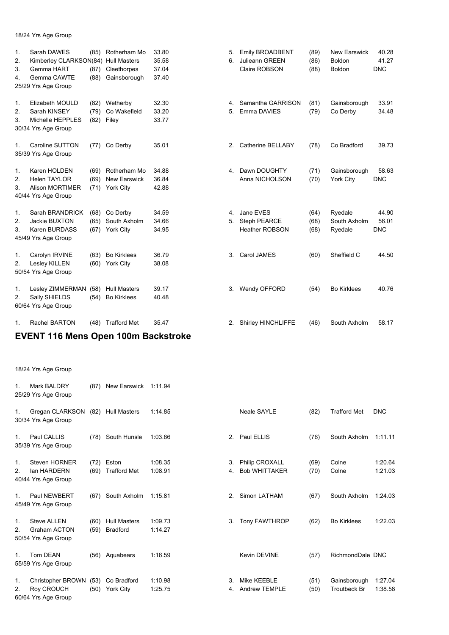18/24 Yrs Age Group

| 1.<br>2.<br>3.<br>4.       | Sarah DAWES<br>Kimberley CLARKSON(84)<br>Gemma HART<br>Gemma CAWTE<br>25/29 Yrs Age Group | (85)<br>(87)<br>(88) | Rotherham Mo<br><b>Hull Masters</b><br>Cleethorpes<br>Gainsborough | 33.80<br>35.58<br>37.04<br>37.40 | 5.<br>6. | Emily BROADBENT<br>Julieann GREEN<br>Claire ROBSON | (89)<br>(86)<br>(88) | New Earswick<br>Boldon<br>Boldon   | 40.28<br>41.27<br><b>DNC</b> |
|----------------------------|-------------------------------------------------------------------------------------------|----------------------|--------------------------------------------------------------------|----------------------------------|----------|----------------------------------------------------|----------------------|------------------------------------|------------------------------|
| 1.<br>2.<br>3.             | Elizabeth MOULD<br>Sarah KINSEY<br>Michelle HEPPLES<br>30/34 Yrs Age Group                | (82)<br>(79)         | Wetherby<br>Co Wakefield<br>(82) Filey                             | 32.30<br>33.20<br>33.77          | 4.<br>5. | Samantha GARRISON<br>Emma DAVIES                   | (81)<br>(79)         | Gainsborough<br>Co Derby           | 33.91<br>34.48               |
| 1.                         | Caroline SUTTON<br>35/39 Yrs Age Group                                                    | (77)                 | Co Derby                                                           | 35.01                            | 2.       | Catherine BELLABY                                  | (78)                 | Co Bradford                        | 39.73                        |
| $\mathbf{1}$ .<br>2.<br>3. | Karen HOLDEN<br><b>Helen TAYLOR</b><br><b>Alison MORTIMER</b><br>40/44 Yrs Age Group      | (69)<br>(69)<br>(71) | Rotherham Mo<br><b>New Earswick</b><br><b>York City</b>            | 34.88<br>36.84<br>42.88          | 4.       | Dawn DOUGHTY<br>Anna NICHOLSON                     | (71)<br>(70)         | Gainsborough<br>York City          | 58.63<br><b>DNC</b>          |
| $\mathbf 1$ .<br>2.<br>3.  | Sarah BRANDRICK<br>Jackie BUXTON<br>Karen BURDASS<br>45/49 Yrs Age Group                  | (68)<br>(65)<br>(67) | Co Derby<br>South Axholm<br>York City                              | 34.59<br>34.66<br>34.95          | 4.<br>5. | Jane EVES<br>Steph PEARCE<br><b>Heather ROBSON</b> | (64)<br>(68)<br>(68) | Ryedale<br>South Axholm<br>Ryedale | 44.90<br>56.01<br><b>DNC</b> |
| $\mathbf{1}$ .<br>2.       | Carolyn IRVINE<br>Lesley KILLEN<br>50/54 Yrs Age Group                                    | (63)                 | <b>Bo Kirklees</b><br>(60) York City                               | 36.79<br>38.08                   | 3.       | Carol JAMES                                        | (60)                 | Sheffield C                        | 44.50                        |
| 1.<br>2.                   | Lesley ZIMMERMAN<br>Sally SHIELDS<br>60/64 Yrs Age Group                                  | (58)<br>(54)         | <b>Hull Masters</b><br><b>Bo Kirklees</b>                          | 39.17<br>40.48                   | 3.       | Wendy OFFORD                                       | (54)                 | <b>Bo Kirklees</b>                 | 40.76                        |
| 1.                         | <b>Rachel BARTON</b>                                                                      | (48)                 | <b>Trafford Met</b>                                                | 35.47                            | 2.       | Shirley HINCHLIFFE                                 | (46)                 | South Axholm                       | 58.17                        |

# **EVENT 116 Mens Open 100m Backstroke**

| 1.                   | Mark BALDRY<br>25/29 Yrs Age Group                               | (87)         | New Earswick                           | 1:11.94            |                |                                        |              |                                     |                    |
|----------------------|------------------------------------------------------------------|--------------|----------------------------------------|--------------------|----------------|----------------------------------------|--------------|-------------------------------------|--------------------|
| 1.                   | Gregan CLARKSON<br>30/34 Yrs Age Group                           | (82)         | <b>Hull Masters</b>                    | 1:14.85            |                | <b>Neale SAYLE</b>                     | (82)         | <b>Trafford Met</b>                 | <b>DNC</b>         |
| 1.                   | Paul CALLIS<br>35/39 Yrs Age Group                               | (78)         | South Hunsle                           | 1:03.66            | 2.             | Paul ELLIS                             | (76)         | South Axholm                        | 1:11.11            |
| $\mathbf{1}$ .<br>2. | Steven HORNER<br>lan HARDERN<br>40/44 Yrs Age Group              | (72)<br>(69) | Eston<br><b>Trafford Met</b>           | 1:08.35<br>1:08.91 | 3.<br>4.       | Philip CROXALL<br><b>Bob WHITTAKER</b> | (69)<br>(70) | Colne<br>Colne                      | 1:20.64<br>1:21.03 |
| 1 <sub>1</sub>       | Paul NEWBERT<br>45/49 Yrs Age Group                              | (67)         | South Axholm                           | 1:15.81            | 2 <sub>1</sub> | Simon LATHAM                           | (67)         | South Axholm                        | 1:24.03            |
| $\mathbf{1}$ .<br>2. | <b>Steve ALLEN</b><br><b>Graham ACTON</b><br>50/54 Yrs Age Group | (60)<br>(59) | <b>Hull Masters</b><br><b>Bradford</b> | 1:09.73<br>1:14.27 | 3.             | Tony FAWTHROP                          | (62)         | <b>Bo Kirklees</b>                  | 1:22.03            |
| $\mathbf{1}$ .       | <b>Tom DEAN</b><br>55/59 Yrs Age Group                           |              | (56) Aquabears                         | 1:16.59            |                | Kevin DEVINE                           | (57)         | RichmondDale DNC                    |                    |
| 1.<br>2.             | Christopher BROWN<br>Roy CROUCH<br>60/64 Yrs Age Group           | (53)<br>(50) | Co Bradford<br><b>York City</b>        | 1:10.98<br>1:25.75 | 3.<br>4.       | Mike KEEBLE<br><b>Andrew TEMPLE</b>    | (51)<br>(50) | Gainsborough<br><b>Troutbeck Br</b> | 1:27.04<br>1:38.58 |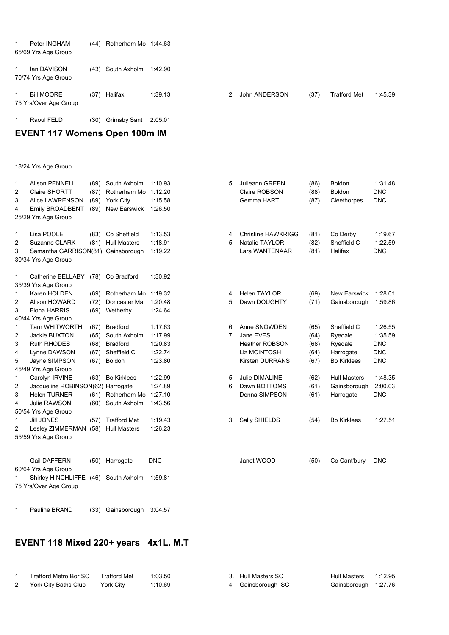| $1_{-}$     | Peter INGHAM<br>65/69 Yrs Age Group        |      | $(44)$ Rotherham Mo 1:44.63 |         |                |               |      |                     |         |
|-------------|--------------------------------------------|------|-----------------------------|---------|----------------|---------------|------|---------------------|---------|
| $1_{-}$     | lan DAVISON<br>70/74 Yrs Age Group         |      | (43) South Axholm           | 1:42.90 |                |               |      |                     |         |
| $1_{\cdot}$ | <b>Bill MOORE</b><br>75 Yrs/Over Age Group |      | (37) Halifax                | 1:39.13 | 2 <sup>2</sup> | John ANDERSON | (37) | <b>Trafford Met</b> | 1:45.39 |
| 1.          | Raoul FELD                                 | (30) | Grimsby Sant                | 2:05.01 |                |               |      |                     |         |

# **EVENT 117 Womens Open 100m IM**

18/24 Yrs Age Group

| 1. | <b>Alison PENNELL</b>              | (89) | South Axholm        | 1:10.93    | 5. | Julieann GREEN            | (86) | Boldon              | 1:31.48    |
|----|------------------------------------|------|---------------------|------------|----|---------------------------|------|---------------------|------------|
| 2. | Claire SHORTT                      | (87) | Rotherham Mo        | 1:12.20    |    | Claire ROBSON             | (88) | Boldon              | <b>DNC</b> |
| 3. | Alice LAWRENSON                    | (89) | <b>York City</b>    | 1:15.58    |    | Gemma HART                | (87) | Cleethorpes         | <b>DNC</b> |
| 4. | Emily BROADBENT                    | (89) | New Earswick        | 1:26.50    |    |                           |      |                     |            |
|    | 25/29 Yrs Age Group                |      |                     |            |    |                           |      |                     |            |
|    |                                    |      |                     |            |    |                           |      |                     |            |
| 1. | Lisa POOLE                         | (83) | Co Sheffield        | 1:13.53    | 4. | <b>Christine HAWKRIGG</b> | (81) | Co Derby            | 1:19.67    |
| 2. | Suzanne CLARK                      | (81) | <b>Hull Masters</b> | 1:18.91    | 5. | Natalie TAYLOR            | (82) | Sheffield C         | 1:22.59    |
| 3. | Samantha GARRISON(81) Gainsborough |      |                     | 1:19.22    |    | Lara WANTENAAR            | (81) | Halifax             | <b>DNC</b> |
|    | 30/34 Yrs Age Group                |      |                     |            |    |                           |      |                     |            |
| 1. | Catherine BELLABY                  | (78) | Co Bradford         | 1:30.92    |    |                           |      |                     |            |
|    | 35/39 Yrs Age Group                |      |                     |            |    |                           |      |                     |            |
| 1. | Karen HOLDEN                       | (69) | Rotherham Mo        | 1:19.32    | 4. | <b>Helen TAYLOR</b>       | (69) | <b>New Earswick</b> | 1:28.01    |
| 2. | Alison HOWARD                      | (72) | Doncaster Ma        | 1:20.48    | 5. | Dawn DOUGHTY              | (71) | Gainsborough        | 1:59.86    |
| 3. | Fiona HARRIS                       | (69) | Wetherby            | 1:24.64    |    |                           |      |                     |            |
|    | 40/44 Yrs Age Group                |      |                     |            |    |                           |      |                     |            |
| 1. | <b>Tarn WHITWORTH</b>              | (67) | <b>Bradford</b>     | 1:17.63    | 6. | Anne SNOWDEN              | (65) | Sheffield C         | 1:26.55    |
| 2. | Jackie BUXTON                      | (65) | South Axholm        | 1:17.99    |    | 7. Jane EVES              | (64) | Ryedale             | 1:35.59    |
| 3. | <b>Ruth RHODES</b>                 | (68) | <b>Bradford</b>     | 1:20.83    |    | <b>Heather ROBSON</b>     | (68) | Ryedale             | <b>DNC</b> |
| 4. | Lynne DAWSON                       | (67) | Sheffield C         | 1:22.74    |    | Liz MCINTOSH              | (64) | Harrogate           | <b>DNC</b> |
| 5. | Jayne SIMPSON                      | (67) | Boldon              | 1:23.80    |    | <b>Kirsten DURRANS</b>    | (67) | <b>Bo Kirklees</b>  | <b>DNC</b> |
|    | 45/49 Yrs Age Group                |      |                     |            |    |                           |      |                     |            |
| 1. | Carolyn IRVINE                     | (63) | <b>Bo Kirklees</b>  | 1:22.99    | 5. | <b>Julie DIMALINE</b>     | (62) | <b>Hull Masters</b> | 1:48.35    |
| 2. | Jacqueline ROBINSON(62) Harrogate  |      |                     | 1:24.89    | 6. | Dawn BOTTOMS              | (61) | Gainsborough        | 2:00.03    |
| 3. | <b>Helen TURNER</b>                | (61) | Rotherham Mo        | 1:27.10    |    | Donna SIMPSON             | (61) | Harrogate           | <b>DNC</b> |
| 4. | Julie RAWSON                       |      | (60) South Axholm   | 1:43.56    |    |                           |      |                     |            |
|    | 50/54 Yrs Age Group                |      |                     |            |    |                           |      |                     |            |
| 1. | <b>Jill JONES</b>                  | (57) | <b>Trafford Met</b> | 1:19.43    | 3. | Sally SHIELDS             | (54) | <b>Bo Kirklees</b>  | 1:27.51    |
| 2. | Lesley ZIMMERMAN (58)              |      | <b>Hull Masters</b> | 1:26.23    |    |                           |      |                     |            |
|    | 55/59 Yrs Age Group                |      |                     |            |    |                           |      |                     |            |
|    |                                    |      |                     |            |    |                           |      |                     |            |
|    | <b>Gail DAFFERN</b>                | (50) | Harrogate           | <b>DNC</b> |    | Janet WOOD                | (50) | Co Cant'bury        | <b>DNC</b> |
|    | 60/64 Yrs Age Group                |      |                     |            |    |                           |      |                     |            |
| 1. | Shirley HINCHLIFFE                 | (46) | South Axholm        | 1:59.81    |    |                           |      |                     |            |
|    | 75 Yrs/Over Age Group              |      |                     |            |    |                           |      |                     |            |
|    |                                    |      |                     |            |    |                           |      |                     |            |

# 1. Pauline BRAND (33) Gainsborough 3:04.57

# **EVENT 118 Mixed 220+ years 4x1L. M.T**

| Trafford Metro Bor SC Trafford Met |           | 1:03.50 | 3. Hull Masters SC | Hull Masters 1:12.95 |  |
|------------------------------------|-----------|---------|--------------------|----------------------|--|
| 2. York City Baths Club            | York City | 1:10.69 | 4. Gainsborough SC | Gainsborough 1:27.76 |  |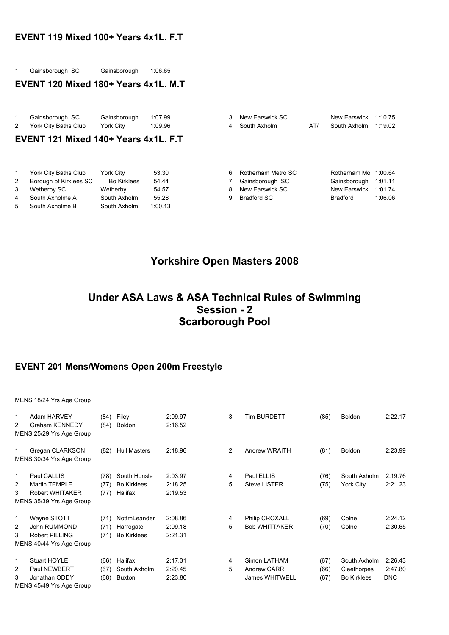#### **EVENT 119 Mixed 100+ Years 4x1L. F.T**

1. Gainsborough SC Gainsborough 1:06.65

#### **EVENT 120 Mixed 180+ Years 4x1L. M.T**

|    | Gainsborough SC      | Gainsborough | 1:07.99 |
|----|----------------------|--------------|---------|
| 2. | York City Baths Club | York City    | 1:09.96 |

### **EVENT 121 Mixed 140+ Years 4x1L. F.T**

| 1.  | York City Baths Club   | York City          | 53.30   |  |
|-----|------------------------|--------------------|---------|--|
| 2.  | Borough of Kirklees SC | <b>Bo Kirklees</b> | 54.44   |  |
| 3.  | Wetherby SC            | Wetherby           | 54.57   |  |
| 4.  | South Axholme A        | South Axholm       | 55.28   |  |
| -5. | South Axholme B        | South Axholm       | 1:00.13 |  |

| 1. | Gainsborough SC                      | Gainsborough       | 1:07.99 | 3. | New Earswick SC    |     | New Earswick         | 1:10.75 |
|----|--------------------------------------|--------------------|---------|----|--------------------|-----|----------------------|---------|
| 2. | York City Baths Club                 | York City          | 1:09.96 |    | 4. South Axholm    | AT/ | South Axholm         | 1:19.02 |
|    | EVENT 121 Mixed 140+ Years 4x1L, F.T |                    |         |    |                    |     |                      |         |
|    |                                      |                    |         |    |                    |     |                      |         |
|    |                                      |                    |         |    |                    |     |                      |         |
| 1. | York City Baths Club                 | York City          | 53.30   | 6  | Rotherham Metro SC |     | Rotherham Mo 1:00.64 |         |
| 2. | Borough of Kirklees SC               | <b>Bo Kirklees</b> | 54.44   |    | Gainsborough SC    |     | Gainsborough         | 1:01.11 |
| 3. | Wetherby SC                          | Wetherby           | 54.57   | 8. | New Earswick SC    |     | New Earswick         | 1:01.74 |
| 4. | South Axholme A                      | South Axholm       | 55.28   | 9  | Bradford SC        |     | <b>Bradford</b>      | 1:06.06 |

## **Yorkshire Open Masters 2008**

# **Under ASA Laws & ASA Technical Rules of Swimming Session - 2 Scarborough Pool**

#### **EVENT 201 Mens/Womens Open 200m Freestyle**

#### MENS 18/24 Yrs Age Group

| 1.<br>2. | Adam HARVEY<br><b>Graham KENNEDY</b><br>MENS 25/29 Yrs Age Group | (84)<br>(84) | Filey<br>Boldon     | 2:09.97<br>2:16.52 | 3. | <b>Tim BURDETT</b>    | (85) | <b>Boldon</b>      | 2:22.17    |  |
|----------|------------------------------------------------------------------|--------------|---------------------|--------------------|----|-----------------------|------|--------------------|------------|--|
| 1.       | Gregan CLARKSON<br>MENS 30/34 Yrs Age Group                      | (82)         | <b>Hull Masters</b> | 2:18.96            | 2. | Andrew WRAITH         | (81) | <b>Boldon</b>      | 2:23.99    |  |
| 1.       | Paul CALLIS                                                      | (78)         | South Hunsle        | 2:03.97            | 4. | Paul ELLIS            | (76) | South Axholm       | 2:19.76    |  |
| 2.       | <b>Martin TEMPLE</b>                                             | (77)         | <b>Bo Kirklees</b>  | 2:18.25            | 5. | <b>Steve LISTER</b>   | (75) | York City          | 2:21.23    |  |
| 3.       | Robert WHITAKER                                                  | (77)         | Halifax             | 2:19.53            |    |                       |      |                    |            |  |
|          | MENS 35/39 Yrs Age Group                                         |              |                     |                    |    |                       |      |                    |            |  |
| 1.       | Wayne STOTT                                                      | (71)         | NottmLeander        | 2:08.86            | 4. | Philip CROXALL        | (69) | Colne              | 2:24.12    |  |
| 2.       | John RUMMOND                                                     | (71)         | Harrogate           | 2:09.18            | 5. | <b>Bob WHITTAKER</b>  | (70) | Colne              | 2:30.65    |  |
| 3.       | Robert PILLING                                                   | (71)         | <b>Bo Kirklees</b>  | 2:21.31            |    |                       |      |                    |            |  |
|          | MENS 40/44 Yrs Age Group                                         |              |                     |                    |    |                       |      |                    |            |  |
| 1.       | Stuart HOYLE                                                     | (66)         | Halifax             | 2:17.31            | 4. | Simon LATHAM          | (67) | South Axholm       | 2:26.43    |  |
| 2.       | Paul NEWBERT                                                     | (67)         | South Axholm        | 2:20.45            | 5. | <b>Andrew CARR</b>    | (66) | Cleethorpes        | 2:47.80    |  |
| 3.       | Jonathan ODDY                                                    | (68)         | Buxton              | 2:23.80            |    | <b>James WHITWELL</b> | (67) | <b>Bo Kirklees</b> | <b>DNC</b> |  |
|          | MENS 45/49 Yrs Age Group                                         |              |                     |                    |    |                       |      |                    |            |  |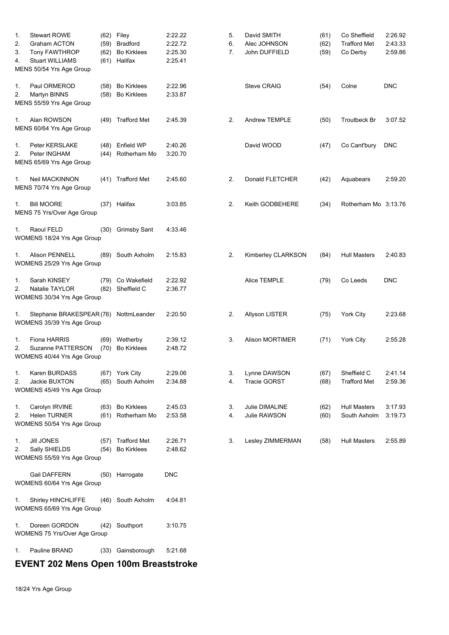| 1.<br>2.<br>3. | <b>Stewart ROWE</b><br><b>Graham ACTON</b><br><b>Tony FAWTHROP</b>     | (59)<br>(62) | (62) Filey<br><b>Bradford</b><br><b>Bo Kirklees</b> | 2:22.22<br>2:22.72<br>2:25.30 | 5.<br>6.<br>7. | David SMITH<br>Alec JOHNSON<br>John DUFFIELD | (61)<br>(62)<br>(59) | Co Sheffield<br><b>Trafford Met</b><br>Co Derby | 2:26.92<br>2:43.33<br>2:59.86 |
|----------------|------------------------------------------------------------------------|--------------|-----------------------------------------------------|-------------------------------|----------------|----------------------------------------------|----------------------|-------------------------------------------------|-------------------------------|
| 4.             | <b>Stuart WILLIAMS</b><br>MENS 50/54 Yrs Age Group                     | (61)         | Halifax                                             | 2:25.41                       |                |                                              |                      |                                                 |                               |
| 1.<br>2.       | Paul ORMEROD<br>Martyn BINNS<br>MENS 55/59 Yrs Age Group               | (58)<br>(58) | <b>Bo Kirklees</b><br><b>Bo Kirklees</b>            | 2:22.96<br>2:33.87            |                | <b>Steve CRAIG</b>                           | (54)                 | Colne                                           | <b>DNC</b>                    |
| 1.             | Alan ROWSON<br>MENS 60/64 Yrs Age Group                                |              | (49) Trafford Met                                   | 2:45.39                       | 2.             | Andrew TEMPLE                                | (50)                 | Troutbeck Br                                    | 3:07.52                       |
| 1.<br>2.       | Peter KERSLAKE<br>Peter INGHAM<br>MENS 65/69 Yrs Age Group             |              | (48) Enfield WP<br>(44) Rotherham Mo                | 2:40.26<br>3:20.70            |                | David WOOD                                   | (47)                 | Co Cant'bury                                    | <b>DNC</b>                    |
| 1.             | Neil MACKINNON<br>MENS 70/74 Yrs Age Group                             | (41)         | <b>Trafford Met</b>                                 | 2:45.60                       | 2.             | Donald FLETCHER                              | (42)                 | Aquabears                                       | 2:59.20                       |
| 1.             | <b>Bill MOORE</b><br>MENS 75 Yrs/Over Age Group                        |              | (37) Halifax                                        | 3:03.85                       | 2.             | Keith GODBEHERE                              | (34)                 | Rotherham Mo 3:13.76                            |                               |
| 1.             | Raoul FELD<br>WOMENS 18/24 Yrs Age Group                               | (30)         | <b>Grimsby Sant</b>                                 | 4:33.46                       |                |                                              |                      |                                                 |                               |
| 1.             | <b>Alison PENNELL</b><br>WOMENS 25/29 Yrs Age Group                    | (89)         | South Axholm                                        | 2:15.83                       | 2.             | Kimberley CLARKSON                           | (84)                 | <b>Hull Masters</b>                             | 2:40.83                       |
| 1.<br>2.       | Sarah KINSEY<br>Natalie TAYLOR<br>WOMENS 30/34 Yrs Age Group           | (82)         | (79) Co Wakefield<br>Sheffield C                    | 2:22.92<br>2:36.77            |                | Alice TEMPLE                                 | (79)                 | Co Leeds                                        | DNC                           |
| 1.             | Stephanie BRAKESPEAR(76)<br>WOMENS 35/39 Yrs Age Group                 |              | NottmLeander                                        | 2:20.50                       | 2.             | Allyson LISTER                               | (75)                 | York City                                       | 2:23.68                       |
| 1.<br>2.       | <b>Fiona HARRIS</b><br>Suzanne PATTERSON<br>WOMENS 40/44 Yrs Age Group | (69)<br>(70) | Wetherby<br><b>Bo Kirklees</b>                      | 2:39.12<br>2:48.72            | 3.             | <b>Alison MORTIMER</b>                       | (71)                 | York City                                       | 2:55.28                       |
| 1.<br>2.       | Karen BURDASS<br>Jackie BUXTON<br>WOMENS 45/49 Yrs Age Group           | (65)         | (67) York City<br>South Axholm                      | 2:29.06<br>2:34.88            | 3.<br>4.       | Lynne DAWSON<br><b>Tracie GORST</b>          | (67)<br>(68)         | Sheffield C<br><b>Trafford Met</b>              | 2:41.14<br>2:59.36            |
| 1.<br>2.       | Carolyn IRVINE<br><b>Helen TURNER</b><br>WOMENS 50/54 Yrs Age Group    | (61)         | (63) Bo Kirklees<br>Rotherham Mo                    | 2:45.03<br>2:53.58            | 3.<br>4.       | Julie DIMALINE<br>Julie RAWSON               | (62)<br>(60)         | <b>Hull Masters</b><br>South Axholm             | 3:17.93<br>3:19.73            |
| 1.<br>2.       | <b>Jill JONES</b><br>Sally SHIELDS<br>WOMENS 55/59 Yrs Age Group       | (57)<br>(54) | <b>Trafford Met</b><br><b>Bo Kirklees</b>           | 2:26.71<br>2:48.62            | 3.             | Lesley ZIMMERMAN                             | (58)                 | <b>Hull Masters</b>                             | 2:55.89                       |
|                | Gail DAFFERN<br>WOMENS 60/64 Yrs Age Group                             |              | (50) Harrogate                                      | <b>DNC</b>                    |                |                                              |                      |                                                 |                               |
| 1.             | Shirley HINCHLIFFE<br>WOMENS 65/69 Yrs Age Group                       | (46)         | South Axholm                                        | 4:04.81                       |                |                                              |                      |                                                 |                               |
| 1.             | Doreen GORDON<br>WOMENS 75 Yrs/Over Age Group                          | (42)         | Southport                                           | 3:10.75                       |                |                                              |                      |                                                 |                               |
| 1.             | Pauline BRAND                                                          |              | (33) Gainsborough                                   | 5:21.68                       |                |                                              |                      |                                                 |                               |

## **EVENT 202 Mens Open 100m Breaststroke**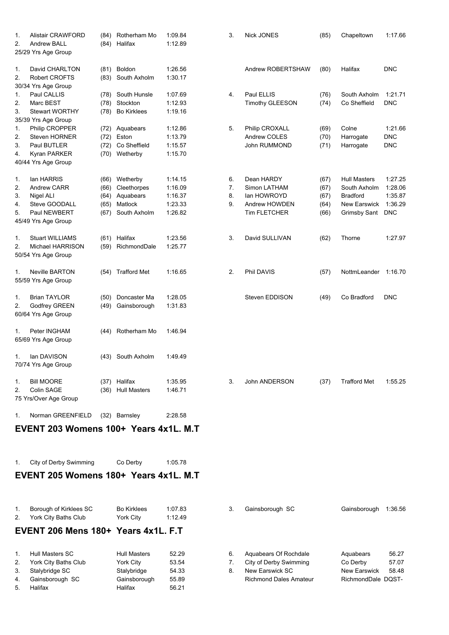| 1.<br>2.                   | <b>Alistair CRAWFORD</b><br><b>Andrew BALL</b>                                                        |                              | (84) Rotherham Mo<br>(84) Halifax                                    | 1:09.84<br>1:12.89                                  | 3.                   | <b>Nick JONES</b>                                                                 | (85)                                 | Chapeltown                                                                                    | 1:17.66                                                |
|----------------------------|-------------------------------------------------------------------------------------------------------|------------------------------|----------------------------------------------------------------------|-----------------------------------------------------|----------------------|-----------------------------------------------------------------------------------|--------------------------------------|-----------------------------------------------------------------------------------------------|--------------------------------------------------------|
|                            | 25/29 Yrs Age Group                                                                                   |                              |                                                                      |                                                     |                      |                                                                                   |                                      |                                                                                               |                                                        |
| 1.<br>2.                   | David CHARLTON<br>Robert CROFTS                                                                       | (83)                         | (81) Boldon<br>South Axholm                                          | 1:26.56<br>1:30.17                                  |                      | Andrew ROBERTSHAW                                                                 | (80)                                 | Halifax                                                                                       | <b>DNC</b>                                             |
| 1.<br>2.<br>3.             | 30/34 Yrs Age Group<br>Paul CALLIS<br>Marc BEST<br><b>Stewart WORTHY</b><br>35/39 Yrs Age Group       | (78)                         | (78) South Hunsle<br>(78) Stockton<br><b>Bo Kirklees</b>             | 1:07.69<br>1:12.93<br>1:19.16                       | 4.                   | Paul ELLIS<br><b>Timothy GLEESON</b>                                              | (76)<br>(74)                         | South Axholm<br>Co Sheffield                                                                  | 1:21.71<br><b>DNC</b>                                  |
| 1.<br>2.<br>3.<br>4.       | Philip CROPPER<br>Steven HORNER<br>Paul BUTLER<br>Kyran PARKER<br>40/44 Yrs Age Group                 | (72)<br>(72)                 | Aquabears<br>Eston<br>(72) Co Sheffield<br>(70) Wetherby             | 1:12.86<br>1:13.79<br>1:15.57<br>1:15.70            | 5.                   | Philip CROXALL<br>Andrew COLES<br>John RUMMOND                                    | (69)<br>(70)<br>(71)                 | Colne<br>Harrogate<br>Harrogate                                                               | 1:21.66<br><b>DNC</b><br><b>DNC</b>                    |
| 1.<br>2.<br>3.<br>4.<br>5. | lan HARRIS<br><b>Andrew CARR</b><br>Nigel ALI<br>Steve GOODALL<br>Paul NEWBERT<br>45/49 Yrs Age Group | (66)<br>(64)<br>(65)<br>(67) | (66) Wetherby<br>Cleethorpes<br>Aquabears<br>Matlock<br>South Axholm | 1:14.15<br>1:16.09<br>1:16.37<br>1:23.33<br>1:26.82 | 6.<br>7.<br>8.<br>9. | Dean HARDY<br>Simon LATHAM<br>lan HOWROYD<br>Andrew HOWDEN<br><b>Tim FLETCHER</b> | (67)<br>(67)<br>(67)<br>(64)<br>(66) | <b>Hull Masters</b><br>South Axholm<br><b>Bradford</b><br><b>New Earswick</b><br>Grimsby Sant | 1:27.25<br>1:28.06<br>1:35.87<br>1:36.29<br><b>DNC</b> |
| 1.<br>2.                   | <b>Stuart WILLIAMS</b><br>Michael HARRISON<br>50/54 Yrs Age Group                                     |                              | (61) Halifax<br>(59) RichmondDale                                    | 1:23.56<br>1:25.77                                  | 3.                   | David SULLIVAN                                                                    | (62)                                 | Thorne                                                                                        | 1:27.97                                                |
| 1.                         | <b>Neville BARTON</b><br>55/59 Yrs Age Group                                                          |                              | (54) Trafford Met                                                    | 1:16.65                                             | 2.                   | Phil DAVIS                                                                        | (57)                                 | NottmLeander                                                                                  | 1:16.70                                                |
| 1.<br>2.                   | <b>Brian TAYLOR</b><br><b>Godfrey GREEN</b><br>60/64 Yrs Age Group                                    | (50)<br>(49)                 | Doncaster Ma<br>Gainsborough                                         | 1:28.05<br>1:31.83                                  |                      | Steven EDDISON                                                                    | (49)                                 | Co Bradford                                                                                   | DNC                                                    |
| 1.                         | Peter INGHAM<br>65/69 Yrs Age Group                                                                   |                              | (44) Rotherham Mo                                                    | 1:46.94                                             |                      |                                                                                   |                                      |                                                                                               |                                                        |
| 1.                         | lan DAVISON<br>70/74 Yrs Age Group                                                                    |                              | (43) South Axholm                                                    | 1:49.49                                             |                      |                                                                                   |                                      |                                                                                               |                                                        |
| 1.<br>2.                   | <b>Bill MOORE</b><br>Colin SAGE<br>75 Yrs/Over Age Group                                              |                              | (37) Halifax<br>(36) Hull Masters                                    | 1:35.95<br>1:46.71                                  | 3.                   | John ANDERSON                                                                     | (37)                                 | <b>Trafford Met</b>                                                                           | 1:55.25                                                |
| 1.                         | Norman GREENFIELD                                                                                     |                              | (32) Barnsley                                                        | 2:28.58                                             |                      |                                                                                   |                                      |                                                                                               |                                                        |

# **EVENT 203 Womens 100+ Years 4x1L. M.T**

| 1. City of Derby Swimming |                                       | Co Derby | 1:05.78 |  |
|---------------------------|---------------------------------------|----------|---------|--|
|                           | EVENT 205 Womens 180+ Years 4x1L. M.T |          |         |  |

| $1_{\cdot}$<br>2. | Borough of Kirklees SC<br>York City Baths Club | <b>Bo Kirklees</b><br>York City | 1:07.83<br>1:12.49 | 3. | Gainsborough SC               | Gainsborough       | 1:36.56 |
|-------------------|------------------------------------------------|---------------------------------|--------------------|----|-------------------------------|--------------------|---------|
|                   | EVENT 206 Mens 180+ Years 4x1L, F.T            |                                 |                    |    |                               |                    |         |
| $1_{-}$           | Hull Masters SC                                | <b>Hull Masters</b>             | 52.29              | 6. | Aquabears Of Rochdale         | Aquabears          | 56.27   |
| 2.                | York City Baths Club                           | York City                       | 53.54              |    | City of Derby Swimming        | Co Derby           | 57.07   |
| 3.                | Stalybridge SC                                 | Stalybridge                     | 54.33              | 8. | New Earswick SC               | New Earswick       | 58.48   |
| 4.                | Gainsborough SC                                | Gainsborough                    | 55.89              |    | <b>Richmond Dales Amateur</b> | RichmondDale DQST- |         |
| 5.                | Halifax                                        | Halifax                         | 56.21              |    |                               |                    |         |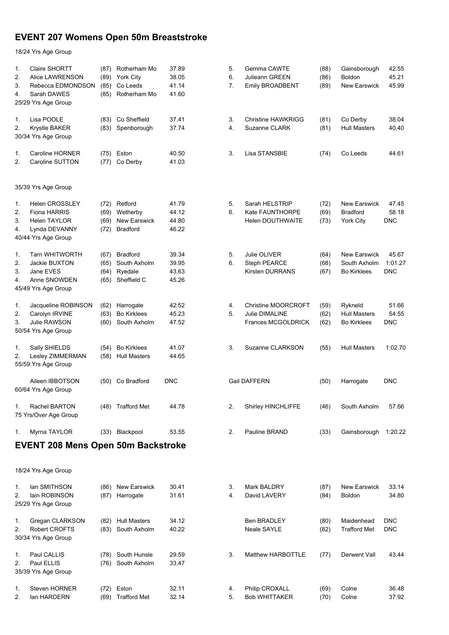# **EVENT 207 Womens Open 50m Breaststroke**

| 1.<br>2.<br>3.<br>4. | Claire SHORTT<br>Alice LAWRENSON<br>Rebecca EDMONDSON<br>Sarah DAWES<br>25/29 Yrs Age Group                 | (87)<br>(89)<br>(85)<br>(85) | Rotherham Mo<br><b>York City</b><br>Co Leeds<br>Rotherham Mo | 37.89<br>38.05<br>41.14<br>41.60 | 5.<br>6.<br>7. | Gemma CAWTE<br>Julieann GREEN<br><b>Emily BROADBENT</b>                   | (88)<br>(86)<br>(89) | Gainsborough<br><b>Boldon</b><br><b>New Earswick</b>       | 42.55<br>45.21<br>45.99        |
|----------------------|-------------------------------------------------------------------------------------------------------------|------------------------------|--------------------------------------------------------------|----------------------------------|----------------|---------------------------------------------------------------------------|----------------------|------------------------------------------------------------|--------------------------------|
| 1.<br>2.             | Lisa POOLE<br><b>Krystle BAKER</b><br>30/34 Yrs Age Group                                                   | (83)                         | Co Sheffield<br>(83) Spenborough                             | 37.41<br>37.74                   | 3.<br>4.       | <b>Christine HAWKRIGG</b><br>Suzanne CLARK                                | (81)<br>(81)         | Co Derby<br><b>Hull Masters</b>                            | 38.04<br>40.40                 |
| 1.<br>2.             | Caroline HORNER<br>Caroline SUTTON                                                                          | (75)<br>(77)                 | Eston<br>Co Derby                                            | 40.50<br>41.03                   | 3.             | Lisa STANSBIE                                                             | (74)                 | Co Leeds                                                   | 44.61                          |
|                      | 35/39 Yrs Age Group                                                                                         |                              |                                                              |                                  |                |                                                                           |                      |                                                            |                                |
| 1.<br>2.<br>3.<br>4. | <b>Helen CROSSLEY</b><br><b>Fiona HARRIS</b><br><b>Helen TAYLOR</b><br>Lynda DEVANNY<br>40/44 Yrs Age Group | (72)<br>(69)<br>(69)<br>(72) | Retford<br>Wetherby<br>New Earswick<br><b>Bradford</b>       | 41.79<br>44.12<br>44.80<br>46.22 | 5.<br>6.       | Sarah HELSTRIP<br>Kate FAUNTHORPE<br><b>Helen DOUTHWAITE</b>              | (72)<br>(69)<br>(73) | <b>New Earswick</b><br><b>Bradford</b><br><b>York City</b> | 47.45<br>58.18<br><b>DNC</b>   |
| 1.<br>2.<br>3.<br>4. | <b>Tarn WHITWORTH</b><br>Jackie BUXTON<br>Jane EVES<br>Anne SNOWDEN<br>45/49 Yrs Age Group                  | (67)<br>(65)<br>(64)<br>(65) | <b>Bradford</b><br>South Axholm<br>Ryedale<br>Sheffield C    | 39.34<br>39.95<br>43.63<br>45.26 | 5.<br>6.       | Julie OLIVER<br>Steph PEARCE<br><b>Kirsten DURRANS</b>                    | (64)<br>(68)<br>(67) | <b>New Earswick</b><br>South Axholm<br><b>Bo Kirklees</b>  | 45.67<br>1:01.27<br><b>DNC</b> |
| 1.<br>2.<br>3.       | Jacqueline ROBINSON<br>Carolyn IRVINE<br><b>Julie RAWSON</b><br>50/54 Yrs Age Group                         | (62)<br>(63)<br>(60)         | Harrogate<br><b>Bo Kirklees</b><br>South Axholm              | 42.52<br>45.23<br>47.52          | 4.<br>5.       | <b>Christine MOORCROFT</b><br>Julie DIMALINE<br><b>Frances MCGOLDRICK</b> | (59)<br>(62)<br>(62) | Rykneld<br><b>Hull Masters</b><br><b>Bo Kirklees</b>       | 51.66<br>54.55<br><b>DNC</b>   |
| 1.<br>2.             | Sally SHIELDS<br>Lesley ZIMMERMAN<br>55/59 Yrs Age Group                                                    | (54)<br>(58)                 | <b>Bo Kirklees</b><br><b>Hull Masters</b>                    | 41.07<br>44.65                   | 3.             | Suzanne CLARKSON                                                          | (55)                 | <b>Hull Masters</b>                                        | 1:02.70                        |
|                      | Aileen IBBOTSON<br>60/64 Yrs Age Group                                                                      |                              | (50) Co Bradford                                             | <b>DNC</b>                       |                | <b>Gail DAFFERN</b>                                                       | (50)                 | Harrogate                                                  | <b>DNC</b>                     |
| 1.                   | Rachel BARTON<br>75 Yrs/Over Age Group                                                                      |                              | (48) Trafford Met                                            | 44.78                            | 2.             | Shirley HINCHLIFFE                                                        | (46)                 | South Axholm                                               | 57.66                          |
| 1.                   | Myrna TAYLOR                                                                                                |                              | (33) Blackpool                                               | 53.55                            | 2.             | Pauline BRAND                                                             | (33)                 | Gainsborough                                               | 1:20.22                        |
|                      | <b>EVENT 208 Mens Open 50m Backstroke</b>                                                                   |                              |                                                              |                                  |                |                                                                           |                      |                                                            |                                |
|                      | 18/24 Yrs Age Group                                                                                         |                              |                                                              |                                  |                |                                                                           |                      |                                                            |                                |
| 1.<br>2.             | lan SMITHSON<br>lain ROBINSON<br>25/29 Yrs Age Group                                                        | (86)<br>(87)                 | <b>New Earswick</b><br>Harrogate                             | 30.41<br>31.61                   | 3.<br>4.       | Mark BALDRY<br>David LAVERY                                               | (87)<br>(84)         | New Earswick<br>Boldon                                     | 33.14<br>34.80                 |
| 1.<br>2.             | Gregan CLARKSON<br><b>Robert CROFTS</b><br>30/34 Yrs Age Group                                              |                              | (82) Hull Masters<br>(83) South Axholm                       | 34.12<br>40.22                   |                | <b>Ben BRADLEY</b><br>Neale SAYLE                                         | (80)<br>(82)         | Maidenhead<br><b>Trafford Met</b>                          | <b>DNC</b><br><b>DNC</b>       |
| 1.<br>2.             | Paul CALLIS<br>Paul ELLIS<br>35/39 Yrs Age Group                                                            |                              | (78) South Hunsle<br>(76) South Axholm                       | 29.59<br>33.47                   | 3.             | Matthew HARBOTTLE                                                         | (77)                 | Derwent Vall                                               | 43.44                          |
| 1.<br>2.             | <b>Steven HORNER</b><br>lan HARDERN                                                                         | (69)                         | (72) Eston<br><b>Trafford Met</b>                            | 32.11<br>32.14                   | 4.<br>5.       | Philip CROXALL<br><b>Bob WHITTAKER</b>                                    | (69)<br>(70)         | Colne<br>Colne                                             | 36.48<br>37.92                 |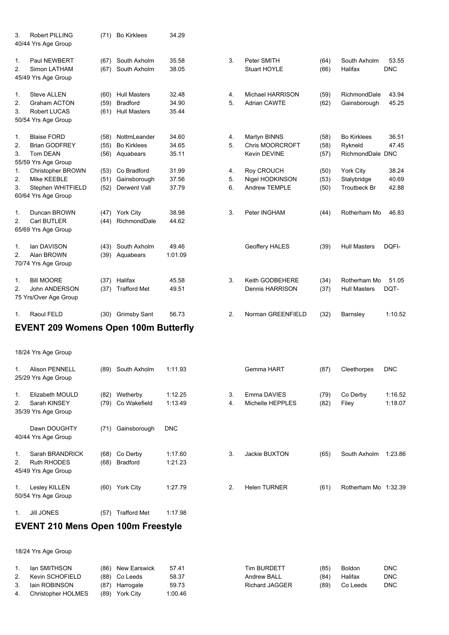| 3.                         | <b>Robert PILLING</b><br>40/44 Yrs Age Group                                            | (71)                 | <b>Bo Kirklees</b>                                            | 34.29                   |                |                                                        |                      |                                                        |                         |
|----------------------------|-----------------------------------------------------------------------------------------|----------------------|---------------------------------------------------------------|-------------------------|----------------|--------------------------------------------------------|----------------------|--------------------------------------------------------|-------------------------|
| 1 <sub>1</sub><br>2.       | Paul NEWBERT<br>Simon LATHAM<br>45/49 Yrs Age Group                                     | (67)<br>(67)         | South Axholm<br>South Axholm                                  | 35.58<br>38.05          | 3.             | Peter SMITH<br><b>Stuart HOYLE</b>                     | (64)<br>(66)         | South Axholm<br>Halifax                                | 53.55<br><b>DNC</b>     |
| $\mathbf 1$<br>2.<br>3.    | <b>Steve ALLEN</b><br><b>Graham ACTON</b><br><b>Robert LUCAS</b><br>50/54 Yrs Age Group | (60)<br>(59)<br>(61) | <b>Hull Masters</b><br><b>Bradford</b><br><b>Hull Masters</b> | 32.48<br>34.90<br>35.44 | 4.<br>5.       | <b>Michael HARRISON</b><br><b>Adrian CAWTE</b>         | (59)<br>(62)         | RichmondDale<br>Gainsborough                           | 43.94<br>45.25          |
| 1.<br>2.<br>3              | <b>Blaise FORD</b><br><b>Brian GODFREY</b><br><b>Tom DEAN</b><br>55/59 Yrs Age Group    | (58)<br>(55)<br>(56) | NottmLeander<br><b>Bo Kirklees</b><br>Aquabears               | 34.60<br>34.65<br>35 11 | 4.<br>5.       | Martyn BINNS<br><b>Chris MOORCROFT</b><br>Kevin DEVINE | (58)<br>(58)<br>(57) | <b>Bo Kirklees</b><br>Rykneld<br>RichmondDale DNC      | 36.51<br>47.45          |
| $\mathbf{1}$ .<br>2.<br>3. | Christopher BROWN<br>Mike KEEBLE<br>Stephen WHITFIELD<br>60/64 Yrs Age Group            | (53)<br>(51)<br>(52) | Co Bradford<br>Gainsborough<br>Derwent Vall                   | 31.99<br>37.56<br>37.79 | 4.<br>5.<br>6. | Roy CROUCH<br>Nigel HODKINSON<br><b>Andrew TEMPLE</b>  | (50)<br>(53)<br>(50) | <b>York City</b><br>Stalybridge<br><b>Troutbeck Br</b> | 38.24<br>40.69<br>42.88 |
| $\mathbf{1}$ .<br>2.       | Duncan BROWN<br>Carl BUTLER<br>65/69 Yrs Age Group                                      | (44)                 | (47) York City<br>RichmondDale                                | 38.98<br>44.62          | 3.             | Peter INGHAM                                           | (44)                 | Rotherham Mo                                           | 46.83                   |
| 1.<br>2.                   | lan DAVISON<br>Alan BROWN<br>70/74 Yrs Age Group                                        | (43)<br>(39)         | South Axholm<br>Aquabears                                     | 49.46<br>1:01.09        |                | Geoffery HALES                                         | (39)                 | <b>Hull Masters</b>                                    | DQFI-                   |
| 1.<br>2.                   | <b>Bill MOORE</b><br><b>John ANDERSON</b><br>75 Yrs/Over Age Group                      | (37)<br>(37)         | Halifax<br><b>Trafford Met</b>                                | 45.58<br>49.51          | 3.             | Keith GODBEHERE<br><b>Dennis HARRISON</b>              | (34)<br>(37)         | Rotherham Mo<br><b>Hull Masters</b>                    | 51.05<br>DQT-           |
| 1.                         | Raoul FELD                                                                              |                      | (30) Grimsby Sant                                             | 56.73                   | 2.             | Norman GREENFIELD                                      | (32)                 | Barnsley                                               | 1:10.52                 |

# **EVENT 209 Womens Open 100m Butterfly**

18/24 Yrs Age Group

| $1_{-}$      | <b>Alison PENNELL</b><br>25/29 Yrs Age Group                 | (89)         | South Axholm                | 1:11.93            |          | Gemma HART                      | (87)         | Cleethorpes          | <b>DNC</b>         |
|--------------|--------------------------------------------------------------|--------------|-----------------------------|--------------------|----------|---------------------------------|--------------|----------------------|--------------------|
| 1.<br>2.     | Elizabeth MOULD<br>Sarah KINSEY<br>35/39 Yrs Age Group       | (82)<br>(79) | Wetherby<br>Co Wakefield    | 1:12.25<br>1:13.49 | 3.<br>4. | Emma DAVIES<br>Michelle HEPPLES | (79)<br>(82) | Co Derby<br>Filey    | 1:16.52<br>1:18.07 |
|              | Dawn DOUGHTY<br>40/44 Yrs Age Group                          | (71)         | Gainsborough                | <b>DNC</b>         |          |                                 |              |                      |                    |
| 1.<br>2.     | Sarah BRANDRICK<br><b>Ruth RHODES</b><br>45/49 Yrs Age Group | (68)<br>(68) | Co Derby<br><b>Bradford</b> | 1:17.60<br>1:21.23 | 3.       | Jackie BUXTON                   | (65)         | South Axholm         | 1:23.86            |
| $1_{\cdots}$ | Lesley KILLEN<br>50/54 Yrs Age Group                         |              | (60) York City              | 1:27.79            | 2.       | <b>Helen TURNER</b>             | (61)         | Rotherham Mo 1:32.39 |                    |
| 1.           | <b>JIII JONES</b>                                            | (57)         | <b>Trafford Met</b>         | 1:17.98            |          |                                 |              |                      |                    |

# **EVENT 210 Mens Open 100m Freestyle**

| $1_{\cdot}$ | lan SMITHSON       | (86) New Earswick | 57.41   | <b>Tim BURDETT</b>    | (85) | <b>Boldon</b> | <b>DNC</b> |
|-------------|--------------------|-------------------|---------|-----------------------|------|---------------|------------|
| 2.          | Kevin SCHOFIELD    | (88) Co Leeds     | 58.37   | <b>Andrew BALL</b>    | (84) | Halifax       | <b>DNC</b> |
| 3.          | lain ROBINSON      | (87) Harrogate    | 59.73   | <b>Richard JAGGER</b> | (89) | Co Leeds      | <b>DNC</b> |
| 4.          | Christopher HOLMES | (89) York City    | 1:00.46 |                       |      |               |            |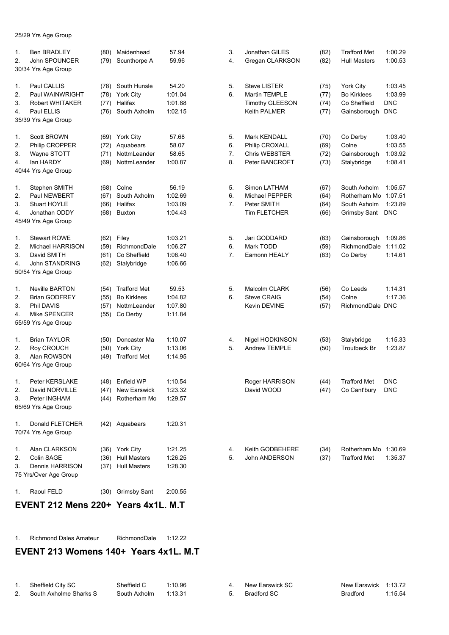25/29 Yrs Age Group

| <b>Ben BRADLEY</b>  | (80)                                                                                                                                                                                                                                                                                                                                                                                                                                                                                                                                                                                                                                                             | Maidenhead                                                                                                                                   | 57.94                                                                                                                                                                                                                                                                                                                                                                                                                                                                                                           | 3.                                                                                                                                                                                                                                                       | Jonathan GILES                                                                         | (82)                                                                                                                                                                                                                                                                                                                                                                                     | <b>Trafford Met</b>                                                                                                                                                                  | 1:00.29                                                                                                                                                                                                                                                                                                                                       |
|---------------------|------------------------------------------------------------------------------------------------------------------------------------------------------------------------------------------------------------------------------------------------------------------------------------------------------------------------------------------------------------------------------------------------------------------------------------------------------------------------------------------------------------------------------------------------------------------------------------------------------------------------------------------------------------------|----------------------------------------------------------------------------------------------------------------------------------------------|-----------------------------------------------------------------------------------------------------------------------------------------------------------------------------------------------------------------------------------------------------------------------------------------------------------------------------------------------------------------------------------------------------------------------------------------------------------------------------------------------------------------|----------------------------------------------------------------------------------------------------------------------------------------------------------------------------------------------------------------------------------------------------------|----------------------------------------------------------------------------------------|------------------------------------------------------------------------------------------------------------------------------------------------------------------------------------------------------------------------------------------------------------------------------------------------------------------------------------------------------------------------------------------|--------------------------------------------------------------------------------------------------------------------------------------------------------------------------------------|-----------------------------------------------------------------------------------------------------------------------------------------------------------------------------------------------------------------------------------------------------------------------------------------------------------------------------------------------|
| John SPOUNCER       | (79)                                                                                                                                                                                                                                                                                                                                                                                                                                                                                                                                                                                                                                                             | Scunthorpe A                                                                                                                                 | 59.96                                                                                                                                                                                                                                                                                                                                                                                                                                                                                                           | 4.                                                                                                                                                                                                                                                       | Gregan CLARKSON                                                                        | (82)                                                                                                                                                                                                                                                                                                                                                                                     | <b>Hull Masters</b>                                                                                                                                                                  | 1:00.53                                                                                                                                                                                                                                                                                                                                       |
|                     |                                                                                                                                                                                                                                                                                                                                                                                                                                                                                                                                                                                                                                                                  |                                                                                                                                              |                                                                                                                                                                                                                                                                                                                                                                                                                                                                                                                 |                                                                                                                                                                                                                                                          |                                                                                        |                                                                                                                                                                                                                                                                                                                                                                                          |                                                                                                                                                                                      |                                                                                                                                                                                                                                                                                                                                               |
|                     |                                                                                                                                                                                                                                                                                                                                                                                                                                                                                                                                                                                                                                                                  |                                                                                                                                              |                                                                                                                                                                                                                                                                                                                                                                                                                                                                                                                 |                                                                                                                                                                                                                                                          |                                                                                        |                                                                                                                                                                                                                                                                                                                                                                                          |                                                                                                                                                                                      |                                                                                                                                                                                                                                                                                                                                               |
|                     |                                                                                                                                                                                                                                                                                                                                                                                                                                                                                                                                                                                                                                                                  |                                                                                                                                              |                                                                                                                                                                                                                                                                                                                                                                                                                                                                                                                 |                                                                                                                                                                                                                                                          |                                                                                        |                                                                                                                                                                                                                                                                                                                                                                                          |                                                                                                                                                                                      | 1:03.45                                                                                                                                                                                                                                                                                                                                       |
|                     |                                                                                                                                                                                                                                                                                                                                                                                                                                                                                                                                                                                                                                                                  |                                                                                                                                              |                                                                                                                                                                                                                                                                                                                                                                                                                                                                                                                 |                                                                                                                                                                                                                                                          |                                                                                        |                                                                                                                                                                                                                                                                                                                                                                                          |                                                                                                                                                                                      | 1:03.99                                                                                                                                                                                                                                                                                                                                       |
|                     |                                                                                                                                                                                                                                                                                                                                                                                                                                                                                                                                                                                                                                                                  |                                                                                                                                              |                                                                                                                                                                                                                                                                                                                                                                                                                                                                                                                 |                                                                                                                                                                                                                                                          |                                                                                        |                                                                                                                                                                                                                                                                                                                                                                                          |                                                                                                                                                                                      | <b>DNC</b>                                                                                                                                                                                                                                                                                                                                    |
|                     |                                                                                                                                                                                                                                                                                                                                                                                                                                                                                                                                                                                                                                                                  |                                                                                                                                              |                                                                                                                                                                                                                                                                                                                                                                                                                                                                                                                 |                                                                                                                                                                                                                                                          |                                                                                        |                                                                                                                                                                                                                                                                                                                                                                                          |                                                                                                                                                                                      | <b>DNC</b>                                                                                                                                                                                                                                                                                                                                    |
|                     |                                                                                                                                                                                                                                                                                                                                                                                                                                                                                                                                                                                                                                                                  |                                                                                                                                              |                                                                                                                                                                                                                                                                                                                                                                                                                                                                                                                 |                                                                                                                                                                                                                                                          |                                                                                        |                                                                                                                                                                                                                                                                                                                                                                                          |                                                                                                                                                                                      |                                                                                                                                                                                                                                                                                                                                               |
|                     |                                                                                                                                                                                                                                                                                                                                                                                                                                                                                                                                                                                                                                                                  |                                                                                                                                              |                                                                                                                                                                                                                                                                                                                                                                                                                                                                                                                 |                                                                                                                                                                                                                                                          |                                                                                        |                                                                                                                                                                                                                                                                                                                                                                                          |                                                                                                                                                                                      | 1:03.40                                                                                                                                                                                                                                                                                                                                       |
|                     |                                                                                                                                                                                                                                                                                                                                                                                                                                                                                                                                                                                                                                                                  |                                                                                                                                              |                                                                                                                                                                                                                                                                                                                                                                                                                                                                                                                 |                                                                                                                                                                                                                                                          |                                                                                        |                                                                                                                                                                                                                                                                                                                                                                                          |                                                                                                                                                                                      | 1:03.55                                                                                                                                                                                                                                                                                                                                       |
|                     |                                                                                                                                                                                                                                                                                                                                                                                                                                                                                                                                                                                                                                                                  |                                                                                                                                              |                                                                                                                                                                                                                                                                                                                                                                                                                                                                                                                 |                                                                                                                                                                                                                                                          |                                                                                        |                                                                                                                                                                                                                                                                                                                                                                                          |                                                                                                                                                                                      |                                                                                                                                                                                                                                                                                                                                               |
|                     |                                                                                                                                                                                                                                                                                                                                                                                                                                                                                                                                                                                                                                                                  |                                                                                                                                              |                                                                                                                                                                                                                                                                                                                                                                                                                                                                                                                 |                                                                                                                                                                                                                                                          |                                                                                        |                                                                                                                                                                                                                                                                                                                                                                                          |                                                                                                                                                                                      | 1:03.92                                                                                                                                                                                                                                                                                                                                       |
|                     |                                                                                                                                                                                                                                                                                                                                                                                                                                                                                                                                                                                                                                                                  |                                                                                                                                              |                                                                                                                                                                                                                                                                                                                                                                                                                                                                                                                 |                                                                                                                                                                                                                                                          |                                                                                        |                                                                                                                                                                                                                                                                                                                                                                                          |                                                                                                                                                                                      | 1:08.41                                                                                                                                                                                                                                                                                                                                       |
|                     |                                                                                                                                                                                                                                                                                                                                                                                                                                                                                                                                                                                                                                                                  |                                                                                                                                              |                                                                                                                                                                                                                                                                                                                                                                                                                                                                                                                 |                                                                                                                                                                                                                                                          |                                                                                        |                                                                                                                                                                                                                                                                                                                                                                                          |                                                                                                                                                                                      |                                                                                                                                                                                                                                                                                                                                               |
|                     |                                                                                                                                                                                                                                                                                                                                                                                                                                                                                                                                                                                                                                                                  |                                                                                                                                              |                                                                                                                                                                                                                                                                                                                                                                                                                                                                                                                 |                                                                                                                                                                                                                                                          |                                                                                        |                                                                                                                                                                                                                                                                                                                                                                                          |                                                                                                                                                                                      | 1:05.57                                                                                                                                                                                                                                                                                                                                       |
|                     |                                                                                                                                                                                                                                                                                                                                                                                                                                                                                                                                                                                                                                                                  |                                                                                                                                              |                                                                                                                                                                                                                                                                                                                                                                                                                                                                                                                 |                                                                                                                                                                                                                                                          |                                                                                        |                                                                                                                                                                                                                                                                                                                                                                                          |                                                                                                                                                                                      | 1:07.51                                                                                                                                                                                                                                                                                                                                       |
|                     |                                                                                                                                                                                                                                                                                                                                                                                                                                                                                                                                                                                                                                                                  |                                                                                                                                              |                                                                                                                                                                                                                                                                                                                                                                                                                                                                                                                 |                                                                                                                                                                                                                                                          |                                                                                        |                                                                                                                                                                                                                                                                                                                                                                                          |                                                                                                                                                                                      | 1:23.89                                                                                                                                                                                                                                                                                                                                       |
|                     |                                                                                                                                                                                                                                                                                                                                                                                                                                                                                                                                                                                                                                                                  |                                                                                                                                              |                                                                                                                                                                                                                                                                                                                                                                                                                                                                                                                 |                                                                                                                                                                                                                                                          |                                                                                        |                                                                                                                                                                                                                                                                                                                                                                                          |                                                                                                                                                                                      | <b>DNC</b>                                                                                                                                                                                                                                                                                                                                    |
|                     |                                                                                                                                                                                                                                                                                                                                                                                                                                                                                                                                                                                                                                                                  |                                                                                                                                              |                                                                                                                                                                                                                                                                                                                                                                                                                                                                                                                 |                                                                                                                                                                                                                                                          |                                                                                        |                                                                                                                                                                                                                                                                                                                                                                                          |                                                                                                                                                                                      |                                                                                                                                                                                                                                                                                                                                               |
|                     |                                                                                                                                                                                                                                                                                                                                                                                                                                                                                                                                                                                                                                                                  |                                                                                                                                              |                                                                                                                                                                                                                                                                                                                                                                                                                                                                                                                 |                                                                                                                                                                                                                                                          |                                                                                        |                                                                                                                                                                                                                                                                                                                                                                                          |                                                                                                                                                                                      |                                                                                                                                                                                                                                                                                                                                               |
| <b>Stewart ROWE</b> |                                                                                                                                                                                                                                                                                                                                                                                                                                                                                                                                                                                                                                                                  | Filey                                                                                                                                        | 1:03.21                                                                                                                                                                                                                                                                                                                                                                                                                                                                                                         | 5.                                                                                                                                                                                                                                                       | Jari GODDARD                                                                           |                                                                                                                                                                                                                                                                                                                                                                                          | Gainsborough                                                                                                                                                                         | 1:09.86                                                                                                                                                                                                                                                                                                                                       |
| Michael HARRISON    |                                                                                                                                                                                                                                                                                                                                                                                                                                                                                                                                                                                                                                                                  | RichmondDale                                                                                                                                 | 1:06.27                                                                                                                                                                                                                                                                                                                                                                                                                                                                                                         | 6.                                                                                                                                                                                                                                                       | Mark TODD                                                                              |                                                                                                                                                                                                                                                                                                                                                                                          | RichmondDale                                                                                                                                                                         | 1:11.02                                                                                                                                                                                                                                                                                                                                       |
|                     |                                                                                                                                                                                                                                                                                                                                                                                                                                                                                                                                                                                                                                                                  |                                                                                                                                              | 1:06.40                                                                                                                                                                                                                                                                                                                                                                                                                                                                                                         | 7.                                                                                                                                                                                                                                                       | Eamonn HEALY                                                                           |                                                                                                                                                                                                                                                                                                                                                                                          |                                                                                                                                                                                      | 1:14.61                                                                                                                                                                                                                                                                                                                                       |
|                     |                                                                                                                                                                                                                                                                                                                                                                                                                                                                                                                                                                                                                                                                  |                                                                                                                                              |                                                                                                                                                                                                                                                                                                                                                                                                                                                                                                                 |                                                                                                                                                                                                                                                          |                                                                                        |                                                                                                                                                                                                                                                                                                                                                                                          |                                                                                                                                                                                      |                                                                                                                                                                                                                                                                                                                                               |
|                     |                                                                                                                                                                                                                                                                                                                                                                                                                                                                                                                                                                                                                                                                  |                                                                                                                                              |                                                                                                                                                                                                                                                                                                                                                                                                                                                                                                                 |                                                                                                                                                                                                                                                          |                                                                                        |                                                                                                                                                                                                                                                                                                                                                                                          |                                                                                                                                                                                      |                                                                                                                                                                                                                                                                                                                                               |
|                     |                                                                                                                                                                                                                                                                                                                                                                                                                                                                                                                                                                                                                                                                  |                                                                                                                                              |                                                                                                                                                                                                                                                                                                                                                                                                                                                                                                                 |                                                                                                                                                                                                                                                          |                                                                                        |                                                                                                                                                                                                                                                                                                                                                                                          |                                                                                                                                                                                      |                                                                                                                                                                                                                                                                                                                                               |
|                     |                                                                                                                                                                                                                                                                                                                                                                                                                                                                                                                                                                                                                                                                  |                                                                                                                                              |                                                                                                                                                                                                                                                                                                                                                                                                                                                                                                                 |                                                                                                                                                                                                                                                          |                                                                                        |                                                                                                                                                                                                                                                                                                                                                                                          |                                                                                                                                                                                      | 1:14.31                                                                                                                                                                                                                                                                                                                                       |
|                     |                                                                                                                                                                                                                                                                                                                                                                                                                                                                                                                                                                                                                                                                  |                                                                                                                                              |                                                                                                                                                                                                                                                                                                                                                                                                                                                                                                                 |                                                                                                                                                                                                                                                          |                                                                                        |                                                                                                                                                                                                                                                                                                                                                                                          |                                                                                                                                                                                      | 1:17.36                                                                                                                                                                                                                                                                                                                                       |
| Phil DAVIS          | (57)                                                                                                                                                                                                                                                                                                                                                                                                                                                                                                                                                                                                                                                             | NottmLeander                                                                                                                                 | 1:07.80                                                                                                                                                                                                                                                                                                                                                                                                                                                                                                         |                                                                                                                                                                                                                                                          | Kevin DEVINE                                                                           | (57)                                                                                                                                                                                                                                                                                                                                                                                     |                                                                                                                                                                                      |                                                                                                                                                                                                                                                                                                                                               |
| Mike SPENCER        | (55)                                                                                                                                                                                                                                                                                                                                                                                                                                                                                                                                                                                                                                                             |                                                                                                                                              | 1:11.84                                                                                                                                                                                                                                                                                                                                                                                                                                                                                                         |                                                                                                                                                                                                                                                          |                                                                                        |                                                                                                                                                                                                                                                                                                                                                                                          |                                                                                                                                                                                      |                                                                                                                                                                                                                                                                                                                                               |
|                     |                                                                                                                                                                                                                                                                                                                                                                                                                                                                                                                                                                                                                                                                  |                                                                                                                                              |                                                                                                                                                                                                                                                                                                                                                                                                                                                                                                                 |                                                                                                                                                                                                                                                          |                                                                                        |                                                                                                                                                                                                                                                                                                                                                                                          |                                                                                                                                                                                      |                                                                                                                                                                                                                                                                                                                                               |
|                     |                                                                                                                                                                                                                                                                                                                                                                                                                                                                                                                                                                                                                                                                  |                                                                                                                                              |                                                                                                                                                                                                                                                                                                                                                                                                                                                                                                                 |                                                                                                                                                                                                                                                          |                                                                                        |                                                                                                                                                                                                                                                                                                                                                                                          |                                                                                                                                                                                      | 1:15.33                                                                                                                                                                                                                                                                                                                                       |
|                     |                                                                                                                                                                                                                                                                                                                                                                                                                                                                                                                                                                                                                                                                  |                                                                                                                                              |                                                                                                                                                                                                                                                                                                                                                                                                                                                                                                                 |                                                                                                                                                                                                                                                          |                                                                                        |                                                                                                                                                                                                                                                                                                                                                                                          |                                                                                                                                                                                      | 1:23.87                                                                                                                                                                                                                                                                                                                                       |
|                     |                                                                                                                                                                                                                                                                                                                                                                                                                                                                                                                                                                                                                                                                  |                                                                                                                                              |                                                                                                                                                                                                                                                                                                                                                                                                                                                                                                                 |                                                                                                                                                                                                                                                          |                                                                                        |                                                                                                                                                                                                                                                                                                                                                                                          |                                                                                                                                                                                      |                                                                                                                                                                                                                                                                                                                                               |
|                     |                                                                                                                                                                                                                                                                                                                                                                                                                                                                                                                                                                                                                                                                  |                                                                                                                                              |                                                                                                                                                                                                                                                                                                                                                                                                                                                                                                                 |                                                                                                                                                                                                                                                          |                                                                                        |                                                                                                                                                                                                                                                                                                                                                                                          |                                                                                                                                                                                      |                                                                                                                                                                                                                                                                                                                                               |
|                     |                                                                                                                                                                                                                                                                                                                                                                                                                                                                                                                                                                                                                                                                  |                                                                                                                                              |                                                                                                                                                                                                                                                                                                                                                                                                                                                                                                                 |                                                                                                                                                                                                                                                          |                                                                                        |                                                                                                                                                                                                                                                                                                                                                                                          |                                                                                                                                                                                      |                                                                                                                                                                                                                                                                                                                                               |
| Peter KERSLAKE      |                                                                                                                                                                                                                                                                                                                                                                                                                                                                                                                                                                                                                                                                  |                                                                                                                                              |                                                                                                                                                                                                                                                                                                                                                                                                                                                                                                                 |                                                                                                                                                                                                                                                          |                                                                                        |                                                                                                                                                                                                                                                                                                                                                                                          | <b>Trafford Met</b>                                                                                                                                                                  | <b>DNC</b>                                                                                                                                                                                                                                                                                                                                    |
|                     |                                                                                                                                                                                                                                                                                                                                                                                                                                                                                                                                                                                                                                                                  |                                                                                                                                              |                                                                                                                                                                                                                                                                                                                                                                                                                                                                                                                 |                                                                                                                                                                                                                                                          |                                                                                        |                                                                                                                                                                                                                                                                                                                                                                                          |                                                                                                                                                                                      | <b>DNC</b>                                                                                                                                                                                                                                                                                                                                    |
|                     |                                                                                                                                                                                                                                                                                                                                                                                                                                                                                                                                                                                                                                                                  |                                                                                                                                              |                                                                                                                                                                                                                                                                                                                                                                                                                                                                                                                 |                                                                                                                                                                                                                                                          |                                                                                        |                                                                                                                                                                                                                                                                                                                                                                                          |                                                                                                                                                                                      |                                                                                                                                                                                                                                                                                                                                               |
|                     |                                                                                                                                                                                                                                                                                                                                                                                                                                                                                                                                                                                                                                                                  |                                                                                                                                              |                                                                                                                                                                                                                                                                                                                                                                                                                                                                                                                 |                                                                                                                                                                                                                                                          |                                                                                        |                                                                                                                                                                                                                                                                                                                                                                                          |                                                                                                                                                                                      |                                                                                                                                                                                                                                                                                                                                               |
|                     |                                                                                                                                                                                                                                                                                                                                                                                                                                                                                                                                                                                                                                                                  |                                                                                                                                              |                                                                                                                                                                                                                                                                                                                                                                                                                                                                                                                 |                                                                                                                                                                                                                                                          |                                                                                        |                                                                                                                                                                                                                                                                                                                                                                                          |                                                                                                                                                                                      |                                                                                                                                                                                                                                                                                                                                               |
| Donald FLETCHER     |                                                                                                                                                                                                                                                                                                                                                                                                                                                                                                                                                                                                                                                                  |                                                                                                                                              | 1:20.31                                                                                                                                                                                                                                                                                                                                                                                                                                                                                                         |                                                                                                                                                                                                                                                          |                                                                                        |                                                                                                                                                                                                                                                                                                                                                                                          |                                                                                                                                                                                      |                                                                                                                                                                                                                                                                                                                                               |
|                     |                                                                                                                                                                                                                                                                                                                                                                                                                                                                                                                                                                                                                                                                  |                                                                                                                                              |                                                                                                                                                                                                                                                                                                                                                                                                                                                                                                                 |                                                                                                                                                                                                                                                          |                                                                                        |                                                                                                                                                                                                                                                                                                                                                                                          |                                                                                                                                                                                      |                                                                                                                                                                                                                                                                                                                                               |
|                     |                                                                                                                                                                                                                                                                                                                                                                                                                                                                                                                                                                                                                                                                  |                                                                                                                                              |                                                                                                                                                                                                                                                                                                                                                                                                                                                                                                                 |                                                                                                                                                                                                                                                          |                                                                                        |                                                                                                                                                                                                                                                                                                                                                                                          |                                                                                                                                                                                      |                                                                                                                                                                                                                                                                                                                                               |
|                     |                                                                                                                                                                                                                                                                                                                                                                                                                                                                                                                                                                                                                                                                  |                                                                                                                                              |                                                                                                                                                                                                                                                                                                                                                                                                                                                                                                                 |                                                                                                                                                                                                                                                          |                                                                                        |                                                                                                                                                                                                                                                                                                                                                                                          |                                                                                                                                                                                      |                                                                                                                                                                                                                                                                                                                                               |
|                     |                                                                                                                                                                                                                                                                                                                                                                                                                                                                                                                                                                                                                                                                  |                                                                                                                                              |                                                                                                                                                                                                                                                                                                                                                                                                                                                                                                                 |                                                                                                                                                                                                                                                          |                                                                                        |                                                                                                                                                                                                                                                                                                                                                                                          |                                                                                                                                                                                      | 1:35.37                                                                                                                                                                                                                                                                                                                                       |
|                     |                                                                                                                                                                                                                                                                                                                                                                                                                                                                                                                                                                                                                                                                  |                                                                                                                                              |                                                                                                                                                                                                                                                                                                                                                                                                                                                                                                                 |                                                                                                                                                                                                                                                          |                                                                                        |                                                                                                                                                                                                                                                                                                                                                                                          |                                                                                                                                                                                      |                                                                                                                                                                                                                                                                                                                                               |
|                     |                                                                                                                                                                                                                                                                                                                                                                                                                                                                                                                                                                                                                                                                  |                                                                                                                                              |                                                                                                                                                                                                                                                                                                                                                                                                                                                                                                                 |                                                                                                                                                                                                                                                          |                                                                                        |                                                                                                                                                                                                                                                                                                                                                                                          |                                                                                                                                                                                      |                                                                                                                                                                                                                                                                                                                                               |
| Raoul FELD          |                                                                                                                                                                                                                                                                                                                                                                                                                                                                                                                                                                                                                                                                  |                                                                                                                                              | 2:00.55                                                                                                                                                                                                                                                                                                                                                                                                                                                                                                         |                                                                                                                                                                                                                                                          |                                                                                        |                                                                                                                                                                                                                                                                                                                                                                                          |                                                                                                                                                                                      |                                                                                                                                                                                                                                                                                                                                               |
|                     | 30/34 Yrs Age Group<br>Paul CALLIS<br>Paul WAINWRIGHT<br>Robert WHITAKER<br>Paul ELLIS<br>35/39 Yrs Age Group<br>Scott BROWN<br>Philip CROPPER<br>Wayne STOTT<br>lan HARDY<br>40/44 Yrs Age Group<br>Stephen SMITH<br>Paul NEWBERT<br>Stuart HOYLE<br>Jonathan ODDY<br>45/49 Yrs Age Group<br>David SMITH<br>John STANDRING<br>50/54 Yrs Age Group<br><b>Neville BARTON</b><br><b>Brian GODFREY</b><br>55/59 Yrs Age Group<br><b>Brian TAYLOR</b><br>Roy CROUCH<br>Alan ROWSON<br>60/64 Yrs Age Group<br>David NORVILLE<br>Peter INGHAM<br>65/69 Yrs Age Group<br>70/74 Yrs Age Group<br>Alan CLARKSON<br>Colin SAGE<br>Dennis HARRISON<br>75 Yrs/Over Age Group | (78)<br>(77)<br>(69)<br>(72)<br>(71)<br>(69)<br>(68)<br>(67)<br>(66)<br>(68)<br>(59)<br>(61)<br>(62)<br>(54)<br>(55)<br>(50)<br>(50)<br>(49) | (78) South Hunsle<br><b>York City</b><br>Halifax<br>(76) South Axholm<br><b>York City</b><br>Aquabears<br>NottmLeander<br>NottmLeander<br>Colne<br>South Axholm<br>Halifax<br><b>Buxton</b><br>(62)<br>Co Sheffield<br>Stalybridge<br><b>Trafford Met</b><br><b>Bo Kirklees</b><br>Co Derby<br>Doncaster Ma<br>York City<br><b>Trafford Met</b><br>(48) Enfield WP<br>(47) New Earswick<br>(44) Rotherham Mo<br>(42) Aquabears<br>(36) York City<br>(36) Hull Masters<br>(37) Hull Masters<br>(30) Grimsby Sant | 54.20<br>1:01.04<br>1:01.88<br>1:02.15<br>57.68<br>58.07<br>58.65<br>1:00.87<br>56.19<br>1:02.69<br>1:03.09<br>1:04.43<br>1:06.66<br>59.53<br>1:04.82<br>1:10.07<br>1:13.06<br>1:14.95<br>1:10.54<br>1:23.32<br>1:29.57<br>1:21.25<br>1:26.25<br>1:28.30 | 5.<br>6.<br>5.<br>6.<br>7.<br>8.<br>5.<br>6.<br>7.<br>5.<br>6.<br>4.<br>5.<br>4.<br>5. | <b>Steve LISTER</b><br>Martin TEMPLE<br><b>Timothy GLEESON</b><br>Keith PALMER<br>Mark KENDALL<br>Philip CROXALL<br><b>Chris WEBSTER</b><br>Peter BANCROFT<br>Simon LATHAM<br>Michael PEPPER<br>Peter SMITH<br><b>Tim FLETCHER</b><br>Malcolm CLARK<br><b>Steve CRAIG</b><br>Nigel HODKINSON<br><b>Andrew TEMPLE</b><br>Roger HARRISON<br>David WOOD<br>Keith GODBEHERE<br>John ANDERSON | (75)<br>(77)<br>(74)<br>(77)<br>(70)<br>(69)<br>(72)<br>(73)<br>(67)<br>(64)<br>(64)<br>(66)<br>(63)<br>(59)<br>(63)<br>(56)<br>(54)<br>(53)<br>(50)<br>(44)<br>(47)<br>(34)<br>(37) | York City<br><b>Bo Kirklees</b><br>Co Sheffield<br>Gainsborough<br>Co Derby<br>Colne<br>Gainsborough<br>Stalybridge<br>South Axholm<br>Rotherham Mo<br>South Axholm<br>Grimsby Sant<br>Co Derby<br>Co Leeds<br>Colne<br>RichmondDale DNC<br>Stalybridge<br><b>Troutbeck Br</b><br>Co Cant'bury<br>Rotherham Mo 1:30.69<br><b>Trafford Met</b> |

### **EVENT 212 Mens 220+ Years 4x1L. M.T**

1. Richmond Dales Amateur RichmondDale 1:12.22

# **EVENT 213 Womens 140+ Years 4x1L. M.T**

| Sheffield City SC      | Sheffield C          | 1:10.96 | 4. New Earswick SC | New Earswick 1:13.72 |         |
|------------------------|----------------------|---------|--------------------|----------------------|---------|
| South Axholme Sharks S | South Axholm 1:13.31 |         | 5. Bradford SC     | Bradford             | 1:15.54 |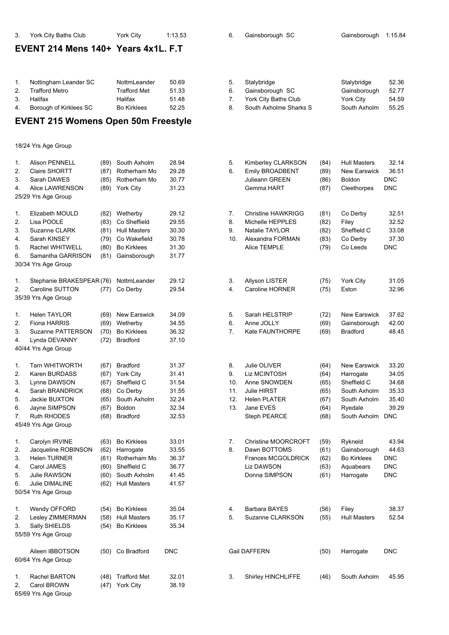#### **EVENT 214 Mens 140+ Years 4x1L. F.T**

|    | Nottingham Leander SC  | NottmLeander       | 50.69 |    | Stalybridge            | Stalybridge  | 52.36 |
|----|------------------------|--------------------|-------|----|------------------------|--------------|-------|
|    | Trafford Metro         | Trafford Met       | 51.33 | 6. | Gainsborough SC        | Gainsborough | 52.77 |
| 3. | Halifax                | Halifax            | 51.48 |    | York City Baths Club   | York City    | 54.59 |
| 4. | Borough of Kirklees SC | <b>Bo Kirklees</b> | 52.25 |    | South Axholme Sharks S | South Axholm | 55.25 |

## **EVENT 215 Womens Open 50m Freestyle**

#### 18/24 Yrs Age Group

65/69 Yrs Age Group

| 1.<br>2.<br>3.<br>4.                   | Alison PENNELL<br>Claire SHORTT<br>Sarah DAWES<br>Alice LAWRENSON                                                                                        | (89)<br>(87)<br>(85)<br>(89)                         | South Axholm<br>Rotherham Mo<br>Rotherham Mo<br><b>York City</b>                                            | 28.94<br>29.28<br>30.77<br>31.23                            | 5.<br>6.                             | Kimberley CLARKSON<br>Emily BROADBENT<br>Julieann GREEN<br>Gemma HART                                                         | (84)<br>(89)<br>(86)<br>(87)                         | Hull Masters<br>New Earswick<br>Boldon<br>Cleethorpes                                                      | 32.14<br>36.51<br><b>DNC</b><br><b>DNC</b>                       |
|----------------------------------------|----------------------------------------------------------------------------------------------------------------------------------------------------------|------------------------------------------------------|-------------------------------------------------------------------------------------------------------------|-------------------------------------------------------------|--------------------------------------|-------------------------------------------------------------------------------------------------------------------------------|------------------------------------------------------|------------------------------------------------------------------------------------------------------------|------------------------------------------------------------------|
|                                        | 25/29 Yrs Age Group                                                                                                                                      |                                                      |                                                                                                             |                                                             |                                      |                                                                                                                               |                                                      |                                                                                                            |                                                                  |
| 1.<br>2.<br>3.<br>4.<br>5.<br>6.       | Elizabeth MOULD<br>Lisa POOLE<br>Suzanne CLARK<br>Sarah KINSEY<br>Rachel WHITWELL<br>Samantha GARRISON<br>30/34 Yrs Age Group                            | (82)<br>(83)<br>(81)<br>(79)<br>(80)<br>(81)         | Wetherby<br>Co Sheffield<br><b>Hull Masters</b><br>Co Wakefield<br><b>Bo Kirklees</b><br>Gainsborough       | 29.12<br>29.55<br>30.30<br>30.78<br>31.30<br>31.77          | 7.<br>8.<br>9.<br>10.                | <b>Christine HAWKRIGG</b><br>Michelle HEPPLES<br>Natalie TAYLOR<br>Alexandra FORMAN<br>Alice TEMPLE                           | (81)<br>(82)<br>(82)<br>(83)<br>(79)                 | Co Derby<br>Filey<br>Sheffield C<br>Co Derby<br>Co Leeds                                                   | 32.51<br>32.52<br>33.08<br>37.30<br><b>DNC</b>                   |
| 1.<br>2.                               | Stephanie BRAKESPEAR(76)<br>Caroline SUTTON<br>35/39 Yrs Age Group                                                                                       | (77)                                                 | NottmLeander<br>Co Derby                                                                                    | 29.12<br>29.54                                              | 3.<br>4.                             | Allyson LISTER<br>Caroline HORNER                                                                                             | (75)<br>(75)                                         | York City<br>Eston                                                                                         | 31.05<br>32.96                                                   |
| 1.<br>2.<br>3.<br>4.                   | <b>Helen TAYLOR</b><br>Fiona HARRIS<br>Suzanne PATTERSON<br>Lynda DEVANNY<br>40/44 Yrs Age Group                                                         | (69)<br>(69)<br>(70)<br>(72)                         | <b>New Earswick</b><br>Wetherby<br><b>Bo Kirklees</b><br><b>Bradford</b>                                    | 34.09<br>34.55<br>36.32<br>37.10                            | 5.<br>6.<br>7.                       | Sarah HELSTRIP<br>Anne JOLLY<br>Kate FAUNTHORPE                                                                               | (72)<br>(69)<br>(69)                                 | <b>New Earswick</b><br>Gainsborough<br><b>Bradford</b>                                                     | 37.62<br>42.00<br>48.45                                          |
| 1.<br>2.<br>3.<br>4.<br>5.<br>6.<br>7. | <b>Tarn WHITWORTH</b><br>Karen BURDASS<br>Lynne DAWSON<br>Sarah BRANDRICK<br>Jackie BUXTON<br>Jayne SIMPSON<br><b>Ruth RHODES</b><br>45/49 Yrs Age Group | (67)<br>(67)<br>(67)<br>(68)<br>(65)<br>(67)<br>(68) | <b>Bradford</b><br><b>York City</b><br>Sheffield C<br>Co Derby<br>South Axholm<br>Boldon<br><b>Bradford</b> | 31.37<br>31.41<br>31.54<br>31.55<br>32.24<br>32.34<br>32.53 | 8.<br>9.<br>10.<br>11.<br>12.<br>13. | Julie OLIVER<br><b>Liz MCINTOSH</b><br>Anne SNOWDEN<br><b>Julie HIRST</b><br><b>Helen PLATER</b><br>Jane EVES<br>Steph PEARCE | (64)<br>(64)<br>(65)<br>(65)<br>(67)<br>(64)<br>(68) | <b>New Earswick</b><br>Harrogate<br>Sheffield C<br>South Axholm<br>South Axholm<br>Ryedale<br>South Axholm | 33.20<br>34.05<br>34.68<br>35.33<br>35.40<br>39.29<br><b>DNC</b> |
| 1.<br>2.<br>3.<br>4.<br>5.<br>6.       | Carolyn IRVINE<br>Jacqueline ROBINSON<br><b>Helen TURNER</b><br>Carol JAMES<br>Julie RAWSON<br><b>Julie DIMALINE</b><br>50/54 Yrs Age Group              | (63)<br>(62)<br>(61)<br>(60)<br>(60)<br>(62)         | <b>Bo Kirklees</b><br>Harrogate<br>Rotherham Mo<br>Sheffield C<br>South Axholm<br><b>Hull Masters</b>       | 33.01<br>33.55<br>36.37<br>36.77<br>41.45<br>41.57          | 7.<br>8.                             | <b>Christine MOORCROFT</b><br>Dawn BOTTOMS<br><b>Frances MCGOLDRICK</b><br><b>Liz DAWSON</b><br>Donna SIMPSON                 | (59)<br>(61)<br>(62)<br>(63)<br>(61)                 | Rykneld<br>Gainsborough<br><b>Bo Kirklees</b><br>Aquabears<br>Harrogate                                    | 43.94<br>44.63<br><b>DNC</b><br><b>DNC</b><br><b>DNC</b>         |
| 1.<br>2.<br>3.                         | Wendy OFFORD<br>Lesley ZIMMERMAN<br>Sally SHIELDS<br>55/59 Yrs Age Group                                                                                 | (58)<br>(54)                                         | (54) Bo Kirklees<br><b>Hull Masters</b><br><b>Bo Kirklees</b>                                               | 35.04<br>35.17<br>35.34                                     | 4.<br>5.                             | Barbara BAYES<br>Suzanne CLARKSON                                                                                             | (56)<br>(55)                                         | Filey<br><b>Hull Masters</b>                                                                               | 38.37<br>52.54                                                   |
|                                        | Aileen IBBOTSON<br>60/64 Yrs Age Group                                                                                                                   |                                                      | (50) Co Bradford                                                                                            | <b>DNC</b>                                                  |                                      | Gail DAFFERN                                                                                                                  | (50)                                                 | Harrogate                                                                                                  | <b>DNC</b>                                                       |
| 1.<br>2.                               | Rachel BARTON<br>Carol BROWN                                                                                                                             | (48)                                                 | <b>Trafford Met</b><br>(47) York City                                                                       | 32.01<br>38.19                                              | 3.                                   | Shirley HINCHLIFFE                                                                                                            | (46)                                                 | South Axholm                                                                                               | 45.95                                                            |

| a. | Stalybridge            | Stalybridge      | 52.36 |
|----|------------------------|------------------|-------|
| ÷. | Gainsborough SC        | Gainsborough     | 52.77 |
| ÷. | York City Baths Club   | <b>York City</b> | 54.59 |
| ä. | South Axholme Sharks S | South Axholm     | 55.25 |

| 1.<br>2.<br>3.<br>4.             | <b>Alison PENNELL</b><br>Claire SHORTT<br>Sarah DAWES<br>Alice LAWRENSON                                                      | (89)<br>(87)<br>(85) | South Axholm<br>Rotherham Mo<br>Rotherham Mo<br>(89) York City                                         | 28.94<br>29.28<br>30.77<br>31.23                   | 5.<br>6.              | Kimberley CLARKSON<br><b>Emily BROADBENT</b><br>Julieann GREEN<br>Gemma HART                        | (84)<br>(89)<br>(86)<br>(87)         | <b>Hull Masters</b><br><b>New Earswick</b><br><b>Boldon</b><br>Cleethorpes | 32.14<br>36.51<br><b>DNC</b><br><b>DNC</b>     |
|----------------------------------|-------------------------------------------------------------------------------------------------------------------------------|----------------------|--------------------------------------------------------------------------------------------------------|----------------------------------------------------|-----------------------|-----------------------------------------------------------------------------------------------------|--------------------------------------|----------------------------------------------------------------------------|------------------------------------------------|
|                                  | 25/29 Yrs Age Group                                                                                                           |                      |                                                                                                        |                                                    |                       |                                                                                                     |                                      |                                                                            |                                                |
| 1.<br>2.<br>3.<br>4.<br>5.<br>6. | Elizabeth MOULD<br>Lisa POOLE<br>Suzanne CLARK<br>Sarah KINSEY<br>Rachel WHITWELL<br>Samantha GARRISON<br>30/34 Yrs Age Group | (83)<br>(79)<br>(81) | (82) Wetherby<br>Co Sheffield<br>(81) Hull Masters<br>Co Wakefield<br>(80) Bo Kirklees<br>Gainsborough | 29.12<br>29.55<br>30.30<br>30.78<br>31.30<br>31.77 | 7.<br>8.<br>9.<br>10. | <b>Christine HAWKRIGG</b><br>Michelle HEPPLES<br>Natalie TAYLOR<br>Alexandra FORMAN<br>Alice TEMPLE | (81)<br>(82)<br>(82)<br>(83)<br>(79) | Co Derby<br>Filey<br>Sheffield C<br>Co Derby<br>Co Leeds                   | 32.51<br>32.52<br>33.08<br>37.30<br><b>DNC</b> |
|                                  |                                                                                                                               |                      |                                                                                                        |                                                    |                       |                                                                                                     |                                      |                                                                            |                                                |
| 1.<br>2.                         | Stephanie BRAKESPEAR (76) NottmLeander<br>Caroline SUTTON<br>35/39 Yrs Age Group                                              | (77)                 | Co Derby                                                                                               | 29.12<br>29.54                                     | 3.<br>4.              | Allyson LISTER<br>Caroline HORNER                                                                   | (75)<br>(75)                         | York City<br>Eston                                                         | 31.05<br>32.96                                 |
| 1.<br>2.<br>3.<br>4.             | <b>Helen TAYLOR</b><br>Fiona HARRIS<br>Suzanne PATTERSON<br>Lynda DEVANNY<br>40/44 Yrs Age Group                              | (69)<br>(70)<br>(72) | <b>New Earswick</b><br>(69) Wetherby<br><b>Bo Kirklees</b><br><b>Bradford</b>                          | 34.09<br>34.55<br>36.32<br>37.10                   | 5.<br>6.<br>7.        | Sarah HELSTRIP<br>Anne JOLLY<br><b>Kate FAUNTHORPE</b>                                              | (72)<br>(69)<br>(69)                 | New Earswick<br>Gainsborough<br><b>Bradford</b>                            | 37.62<br>42.00<br>48.45                        |
| 1.                               | <b>Tarn WHITWORTH</b>                                                                                                         | (67)                 | Bradford                                                                                               | 31.37                                              | 8.                    | Julie OLIVER                                                                                        | (64)                                 | <b>New Earswick</b>                                                        | 33.20                                          |
| 2.                               | Karen BURDASS                                                                                                                 |                      | (67) York City                                                                                         | 31.41                                              | 9.                    | Liz MCINTOSH                                                                                        | (64)                                 | Harrogate                                                                  | 34.05                                          |
| 3.                               | Lynne DAWSON                                                                                                                  | (67)                 | Sheffield C                                                                                            | 31.54                                              | 10.                   | Anne SNOWDEN                                                                                        | (65)                                 | Sheffield C                                                                | 34.68                                          |
| 4.                               | Sarah BRANDRICK                                                                                                               | (68)                 | Co Derby                                                                                               | 31.55                                              | 11.                   | Julie HIRST                                                                                         | (65)                                 | South Axholm                                                               | 35.33                                          |
| 5.                               | Jackie BUXTON                                                                                                                 | (65)                 | South Axholm                                                                                           | 32.24                                              | 12.                   | <b>Helen PLATER</b>                                                                                 | (67)                                 | South Axholm                                                               | 35.40                                          |
| 6.                               | Jayne SIMPSON                                                                                                                 | (67)                 | Boldon                                                                                                 | 32.34                                              | 13.                   | Jane EVES                                                                                           | (64)                                 | Ryedale                                                                    | 39.29                                          |
| 7.                               | <b>Ruth RHODES</b><br>45/49 Yrs Age Group                                                                                     | (68)                 | <b>Bradford</b>                                                                                        | 32.53                                              |                       | Steph PEARCE                                                                                        | (68)                                 | South Axholm DNC                                                           |                                                |
|                                  |                                                                                                                               |                      |                                                                                                        |                                                    |                       |                                                                                                     |                                      |                                                                            |                                                |
| 1.<br>2.                         | Carolyn IRVINE<br>Jacqueline ROBINSON                                                                                         | (63)<br>(62)         | <b>Bo Kirklees</b><br>Harrogate                                                                        | 33.01<br>33.55                                     | 7.<br>8.              | Christine MOORCROFT<br>Dawn BOTTOMS                                                                 | (59)<br>(61)                         | Rykneld<br>Gainsborough                                                    | 43.94<br>44.63                                 |
| 3.                               | <b>Helen TURNER</b>                                                                                                           | (61)                 | Rotherham Mo                                                                                           | 36.37                                              |                       | Frances MCGOLDRICK                                                                                  | (62)                                 | <b>Bo Kirklees</b>                                                         | <b>DNC</b>                                     |
| 4.                               | Carol JAMES                                                                                                                   | (60)                 | Sheffield C                                                                                            | 36.77                                              |                       | <b>Liz DAWSON</b>                                                                                   | (63)                                 | Aquabears                                                                  | <b>DNC</b>                                     |
| 5.                               | <b>Julie RAWSON</b>                                                                                                           | (60)                 | South Axholm                                                                                           | 41.45                                              |                       | Donna SIMPSON                                                                                       | (61)                                 | Harrogate                                                                  | <b>DNC</b>                                     |
| 6.                               | Julie DIMALINE                                                                                                                | (62)                 | <b>Hull Masters</b>                                                                                    | 41.57                                              |                       |                                                                                                     |                                      |                                                                            |                                                |
|                                  | 50/54 Yrs Age Group                                                                                                           |                      |                                                                                                        |                                                    |                       |                                                                                                     |                                      |                                                                            |                                                |
| 1.                               | Wendy OFFORD                                                                                                                  | (54)                 | <b>Bo Kirklees</b>                                                                                     | 35.04                                              | 4.                    | Barbara BAYES                                                                                       | (56)                                 | Filey                                                                      | 38.37                                          |
| 2.                               | Lesley ZIMMERMAN                                                                                                              |                      | (58) Hull Masters                                                                                      | 35.17                                              | 5.                    | Suzanne CLARKSON                                                                                    | (55)                                 | <b>Hull Masters</b>                                                        | 52.54                                          |
| 3.                               | Sally SHIELDS<br>55/59 Yrs Age Group                                                                                          |                      | (54) Bo Kirklees                                                                                       | 35.34                                              |                       |                                                                                                     |                                      |                                                                            |                                                |
|                                  |                                                                                                                               |                      |                                                                                                        |                                                    |                       |                                                                                                     |                                      |                                                                            |                                                |
|                                  | Aileen IBBOTSON<br>60/64 Yrs Age Group                                                                                        |                      | (50) Co Bradford                                                                                       | <b>DNC</b>                                         |                       | Gail DAFFERN                                                                                        | (50)                                 | Harrogate                                                                  | <b>DNC</b>                                     |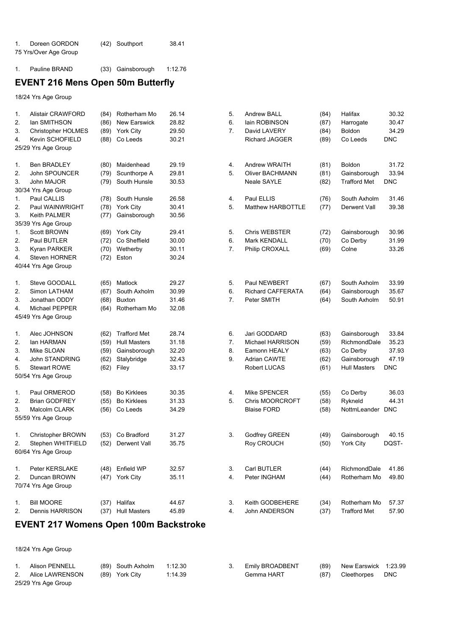| Doreen GORDON         | (42) Southport | 38.41 |
|-----------------------|----------------|-------|
| 75 Yrs/Over Age Group |                |       |

1. Pauline BRAND (33) Gainsborough 1:12.76

# **EVENT 216 Mens Open 50m Butterfly**

18/24 Yrs Age Group

| 1. | <b>Alistair CRAWFORD</b> | (84) | Rotherham Mo        | 26.14 | 5.             | <b>Andrew BALL</b>       | (84) | Halifax             | 30.32      |
|----|--------------------------|------|---------------------|-------|----------------|--------------------------|------|---------------------|------------|
| 2. | lan SMITHSON             | (86) | <b>New Earswick</b> | 28.82 | 6.             | lain ROBINSON            | (87) | Harrogate           | 30.47      |
| 3. | Christopher HOLMES       | (89) | York City           | 29.50 | 7.             | David LAVERY             | (84) | Boldon              | 34.29      |
| 4. | <b>Kevin SCHOFIELD</b>   | (88) | Co Leeds            | 30.21 |                | <b>Richard JAGGER</b>    | (89) | Co Leeds            | <b>DNC</b> |
|    | 25/29 Yrs Age Group      |      |                     |       |                |                          |      |                     |            |
|    |                          |      |                     |       |                |                          |      |                     |            |
| 1. | <b>Ben BRADLEY</b>       |      | (80) Maidenhead     | 29.19 | 4.             | Andrew WRAITH            | (81) | Boldon              | 31.72      |
| 2. | John SPOUNCER            | (79) | Scunthorpe A        | 29.81 | 5.             | Oliver BACHMANN          | (81) | Gainsborough        | 33.94      |
| 3. | John MAJOR               | (79) | South Hunsle        | 30.53 |                | Neale SAYLE              | (82) | <b>Trafford Met</b> | <b>DNC</b> |
|    | 30/34 Yrs Age Group      |      |                     |       |                |                          |      |                     |            |
| 1. | Paul CALLIS              |      | (78) South Hunsle   | 26.58 | 4.             | Paul ELLIS               | (76) | South Axholm        | 31.46      |
| 2. | Paul WAINWRIGHT          |      | (78) York City      | 30.41 | 5.             | <b>Matthew HARBOTTLE</b> | (77) | Derwent Vall        | 39.38      |
| 3. | Keith PALMER             | (77) | Gainsborough        | 30.56 |                |                          |      |                     |            |
|    | 35/39 Yrs Age Group      |      |                     |       |                |                          |      |                     |            |
| 1. | <b>Scott BROWN</b>       |      | (69) York City      | 29.41 | 5.             | <b>Chris WEBSTER</b>     | (72) | Gainsborough        | 30.96      |
| 2. | Paul BUTLER              | (72) | Co Sheffield        | 30.00 | 6.             | Mark KENDALL             | (70) | Co Derby            | 31.99      |
| 3. | Kyran PARKER             | (70) | Wetherby            | 30.11 | 7.             | Philip CROXALL           | (69) | Colne               | 33.26      |
| 4. | Steven HORNER            | (72) | Eston               | 30.24 |                |                          |      |                     |            |
|    | 40/44 Yrs Age Group      |      |                     |       |                |                          |      |                     |            |
|    |                          |      |                     |       |                |                          |      |                     |            |
| 1. | Steve GOODALL            | (65) | Matlock             | 29.27 | 5.             | Paul NEWBERT             | (67) | South Axholm        | 33.99      |
| 2. | Simon LATHAM             | (67) | South Axholm        | 30.99 | 6.             | <b>Richard CAFFERATA</b> |      | Gainsborough        | 35.67      |
| 3. |                          |      |                     | 31.46 | 7.             |                          | (64) |                     |            |
|    | Jonathan ODDY            | (68) | <b>Buxton</b>       |       |                | Peter SMITH              | (64) | South Axholm        | 50.91      |
| 4. | Michael PEPPER           | (64) | Rotherham Mo        | 32.08 |                |                          |      |                     |            |
|    | 45/49 Yrs Age Group      |      |                     |       |                |                          |      |                     |            |
|    |                          |      |                     |       |                |                          |      |                     |            |
| 1. | Alec JOHNSON             | (62) | <b>Trafford Met</b> | 28.74 | 6.             | Jari GODDARD             | (63) | Gainsborough        | 33.84      |
| 2. | lan HARMAN               | (59) | <b>Hull Masters</b> | 31.18 | $\mathbf{7}$ . | Michael HARRISON         | (59) | RichmondDale        | 35.23      |
| 3. | Mike SLOAN               | (59) | Gainsborough        | 32.20 | 8.             | Eamonn HEALY             | (63) | Co Derby            | 37.93      |
| 4. | John STANDRING           | (62) | Stalybridge         | 32.43 | 9.             | <b>Adrian CAWTE</b>      | (62) | Gainsborough        | 47.19      |
| 5. | <b>Stewart ROWE</b>      | (62) | Filey               | 33.17 |                | Robert LUCAS             | (61) | <b>Hull Masters</b> | <b>DNC</b> |
|    | 50/54 Yrs Age Group      |      |                     |       |                |                          |      |                     |            |
|    |                          |      |                     |       |                |                          |      |                     |            |
| 1. | Paul ORMEROD             | (58) | <b>Bo Kirklees</b>  | 30.35 | 4.             | Mike SPENCER             | (55) | Co Derby            | 36.03      |
| 2. | <b>Brian GODFREY</b>     | (55) | <b>Bo Kirklees</b>  | 31.33 | 5.             | <b>Chris MOORCROFT</b>   | (58) | Rykneld             | 44.31      |
| 3. | Malcolm CLARK            | (56) | Co Leeds            | 34.29 |                | <b>Blaise FORD</b>       | (58) | NottmLeander        | <b>DNC</b> |
|    | 55/59 Yrs Age Group      |      |                     |       |                |                          |      |                     |            |
|    |                          |      |                     |       |                |                          |      |                     |            |
| 1. | Christopher BROWN        | (53) | Co Bradford         | 31.27 | 3.             | Godfrey GREEN            | (49) | Gainsborough        | 40.15      |
| 2. | Stephen WHITFIELD        | (52) | Derwent Vall        | 35.75 |                | Roy CROUCH               | (50) | York City           | DQST-      |
|    | 60/64 Yrs Age Group      |      |                     |       |                |                          |      |                     |            |
|    |                          |      |                     |       |                |                          |      |                     |            |
| 1. | Peter KERSLAKE           |      | (48) Enfield WP     | 32.57 | 3.             | Carl BUTLER              | (44) | RichmondDale        | 41.86      |
| 2. | Duncan BROWN             |      | (47) York City      | 35.11 | 4.             | Peter INGHAM             | (44) | Rotherham Mo        | 49.80      |
|    | 70/74 Yrs Age Group      |      |                     |       |                |                          |      |                     |            |
|    |                          |      |                     |       |                |                          |      |                     |            |
| 1. | <b>Bill MOORE</b>        |      | (37) Halifax        | 44.67 | 3.             | Keith GODBEHERE          | (34) | Rotherham Mo        | 57.37      |
| 2. | Dennis HARRISON          | (37) | <b>Hull Masters</b> | 45.89 | 4.             | John ANDERSON            | (37) | <b>Trafford Met</b> | 57.90      |

## **EVENT 217 Womens Open 100m Backstroke**

|                     | Alison PENNELL  |  | (89) South Axholm | 1:12.30 |  | <b>Emily BROADBENT</b> |      | (89) New Earswick 1:23.99 |            |
|---------------------|-----------------|--|-------------------|---------|--|------------------------|------|---------------------------|------------|
| 2.                  | Alice LAWRENSON |  | (89) York City    | 1:14.39 |  | Gemma HART             | (87) | Cleethorpes               | <b>DNC</b> |
| 25/29 Yrs Age Group |                 |  |                   |         |  |                        |      |                           |            |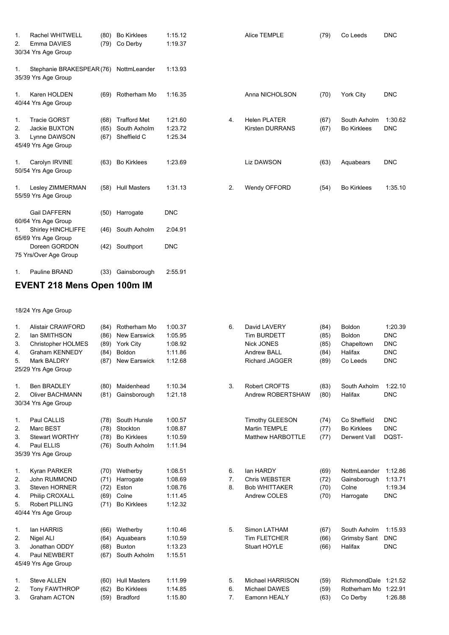| 1.<br>2.       | <b>Rachel WHITWELL</b><br>Emma DAVIES<br>30/34 Yrs Age Group                | (80)<br>(79)         | <b>Bo Kirklees</b><br>Co Derby                     | 1:15.12<br>1:19.37            |    | Alice TEMPLE                                  | (79)         | Co Leeds                           | <b>DNC</b>            |
|----------------|-----------------------------------------------------------------------------|----------------------|----------------------------------------------------|-------------------------------|----|-----------------------------------------------|--------------|------------------------------------|-----------------------|
| 1.             | Stephanie BRAKESPEAR (76) NottmLeander<br>35/39 Yrs Age Group               |                      |                                                    | 1:13.93                       |    |                                               |              |                                    |                       |
| 1.             | Karen HOLDEN<br>40/44 Yrs Age Group                                         | (69)                 | Rotherham Mo                                       | 1:16.35                       |    | Anna NICHOLSON                                | (70)         | York City                          | <b>DNC</b>            |
| 1.<br>2.<br>3. | <b>Tracie GORST</b><br>Jackie BUXTON<br>Lynne DAWSON<br>45/49 Yrs Age Group | (68)<br>(65)<br>(67) | <b>Trafford Met</b><br>South Axholm<br>Sheffield C | 1:21.60<br>1:23.72<br>1:25.34 | 4. | <b>Helen PLATER</b><br><b>Kirsten DURRANS</b> | (67)<br>(67) | South Axholm<br><b>Bo Kirklees</b> | 1:30.62<br><b>DNC</b> |
| 1.             | Carolyn IRVINE<br>50/54 Yrs Age Group                                       | (63)                 | <b>Bo Kirklees</b>                                 | 1:23.69                       |    | Liz DAWSON                                    | (63)         | Aquabears                          | <b>DNC</b>            |
| 1.             | Lesley ZIMMERMAN<br>55/59 Yrs Age Group                                     | (58)                 | <b>Hull Masters</b>                                | 1:31.13                       | 2. | Wendy OFFORD                                  | (54)         | <b>Bo Kirklees</b>                 | 1:35.10               |
|                | Gail DAFFERN<br>60/64 Yrs Age Group                                         |                      | (50) Harrogate                                     | <b>DNC</b>                    |    |                                               |              |                                    |                       |
| 1.             | Shirley HINCHLIFFE                                                          | (46)                 | South Axholm                                       | 2:04.91                       |    |                                               |              |                                    |                       |
|                | 65/69 Yrs Age Group<br>Doreen GORDON<br>75 Yrs/Over Age Group               | (42)                 | Southport                                          | <b>DNC</b>                    |    |                                               |              |                                    |                       |
| 1.             | Pauline BRAND                                                               | (33)                 | Gainsborough                                       | 2:55.91                       |    |                                               |              |                                    |                       |
|                | .                                                                           |                      | $\cdots$<br>.                                      |                               |    |                                               |              |                                    |                       |

## **EVENT 218 Mens Open 100m IM**

| $\mathbf{1}$ .<br>2.<br>3.<br>4.<br>5.         | <b>Alistair CRAWFORD</b><br>lan SMITHSON<br><b>Christopher HOLMES</b><br><b>Graham KENNEDY</b><br>Mark BALDRY<br>25/29 Yrs Age Group | (84)<br>(86)<br>(89)<br>(84)<br>(87) | Rotherham Mo<br><b>New Earswick</b><br>York City<br>Boldon<br>New Earswick | 1:00.37<br>1:05.95<br>1:08.92<br>1:11.86<br>1:12.68 | 6.             | David LAVERY<br><b>Tim BURDETT</b><br><b>Nick JONES</b><br>Andrew BALL<br><b>Richard JAGGER</b> | (84)<br>(85)<br>(85)<br>(84)<br>(89) | <b>Boldon</b><br><b>Boldon</b><br>Chapeltown<br>Halifax<br>Co Leeds | 1:20.39<br><b>DNC</b><br><b>DNC</b><br><b>DNC</b><br><b>DNC</b> |
|------------------------------------------------|--------------------------------------------------------------------------------------------------------------------------------------|--------------------------------------|----------------------------------------------------------------------------|-----------------------------------------------------|----------------|-------------------------------------------------------------------------------------------------|--------------------------------------|---------------------------------------------------------------------|-----------------------------------------------------------------|
| 1.<br>2.                                       | <b>Ben BRADLEY</b><br><b>Oliver BACHMANN</b><br>30/34 Yrs Age Group                                                                  | (80)<br>(81)                         | Maidenhead<br>Gainsborough                                                 | 1:10.34<br>1:21.18                                  | 3.             | <b>Robert CROFTS</b><br>Andrew ROBERTSHAW                                                       | (83)<br>(80)                         | South Axholm<br>Halifax                                             | 1:22.10<br><b>DNC</b>                                           |
| $\mathbf{1}$ .<br>2.<br>3.<br>$\overline{4}$ . | Paul CALLIS<br>Marc BEST<br><b>Stewart WORTHY</b><br>Paul ELLIS<br>35/39 Yrs Age Group                                               | (78)<br>(78)<br>(78)<br>(76)         | South Hunsle<br>Stockton<br><b>Bo Kirklees</b><br>South Axholm             | 1:00.57<br>1:08.87<br>1:10.59<br>1:11.94            |                | <b>Timothy GLEESON</b><br><b>Martin TEMPLE</b><br><b>Matthew HARBOTTLE</b>                      | (74)<br>(77)<br>(77)                 | Co Sheffield<br><b>Bo Kirklees</b><br>Derwent Vall                  | <b>DNC</b><br><b>DNC</b><br>DQST-                               |
| 1.<br>2.<br>3.<br>4.<br>5.                     | Kyran PARKER<br>John RUMMOND<br><b>Steven HORNER</b><br>Philip CROXALL<br><b>Robert PILLING</b><br>40/44 Yrs Age Group               | (70)<br>(71)<br>(72)<br>(69)<br>(71) | Wetherby<br>Harrogate<br>Eston<br>Colne<br><b>Bo Kirklees</b>              | 1:08.51<br>1:08.69<br>1:08.76<br>1:11.45<br>1:12.32 | 6.<br>7.<br>8. | lan HARDY<br><b>Chris WEBSTER</b><br><b>Bob WHITTAKER</b><br>Andrew COLES                       | (69)<br>(72)<br>(70)<br>(70)         | NottmLeander<br>Gainsborough<br>Colne<br>Harrogate                  | 1:12.86<br>1:13.71<br>1:19.34<br><b>DNC</b>                     |
| $\mathbf{1}$ .<br>2.<br>3.<br>4.               | lan HARRIS<br>Nigel ALI<br>Jonathan ODDY<br>Paul NEWBERT<br>45/49 Yrs Age Group                                                      | (66)<br>(64)<br>(68)<br>(67)         | Wetherby<br>Aquabears<br><b>Buxton</b><br>South Axholm                     | 1:10.46<br>1:10.59<br>1:13.23<br>1:15.51            | 5.             | Simon LATHAM<br><b>Tim FLETCHER</b><br>Stuart HOYLE                                             | (67)<br>(66)<br>(66)                 | South Axholm<br><b>Grimsby Sant</b><br>Halifax                      | 1:15.93<br><b>DNC</b><br><b>DNC</b>                             |
| 1.<br>2.<br>3.                                 | <b>Steve ALLEN</b><br><b>Tony FAWTHROP</b><br><b>Graham ACTON</b>                                                                    | (60)<br>(62)<br>(59)                 | <b>Hull Masters</b><br><b>Bo Kirklees</b><br><b>Bradford</b>               | 1:11.99<br>1:14.85<br>1:15.80                       | 5.<br>6.<br>7. | <b>Michael HARRISON</b><br><b>Michael DAWES</b><br>Eamonn HEALY                                 | (59)<br>(59)<br>(63)                 | RichmondDale 1:21.52<br>Rotherham Mo 1:22.91<br>Co Derby            | 1:26.88                                                         |